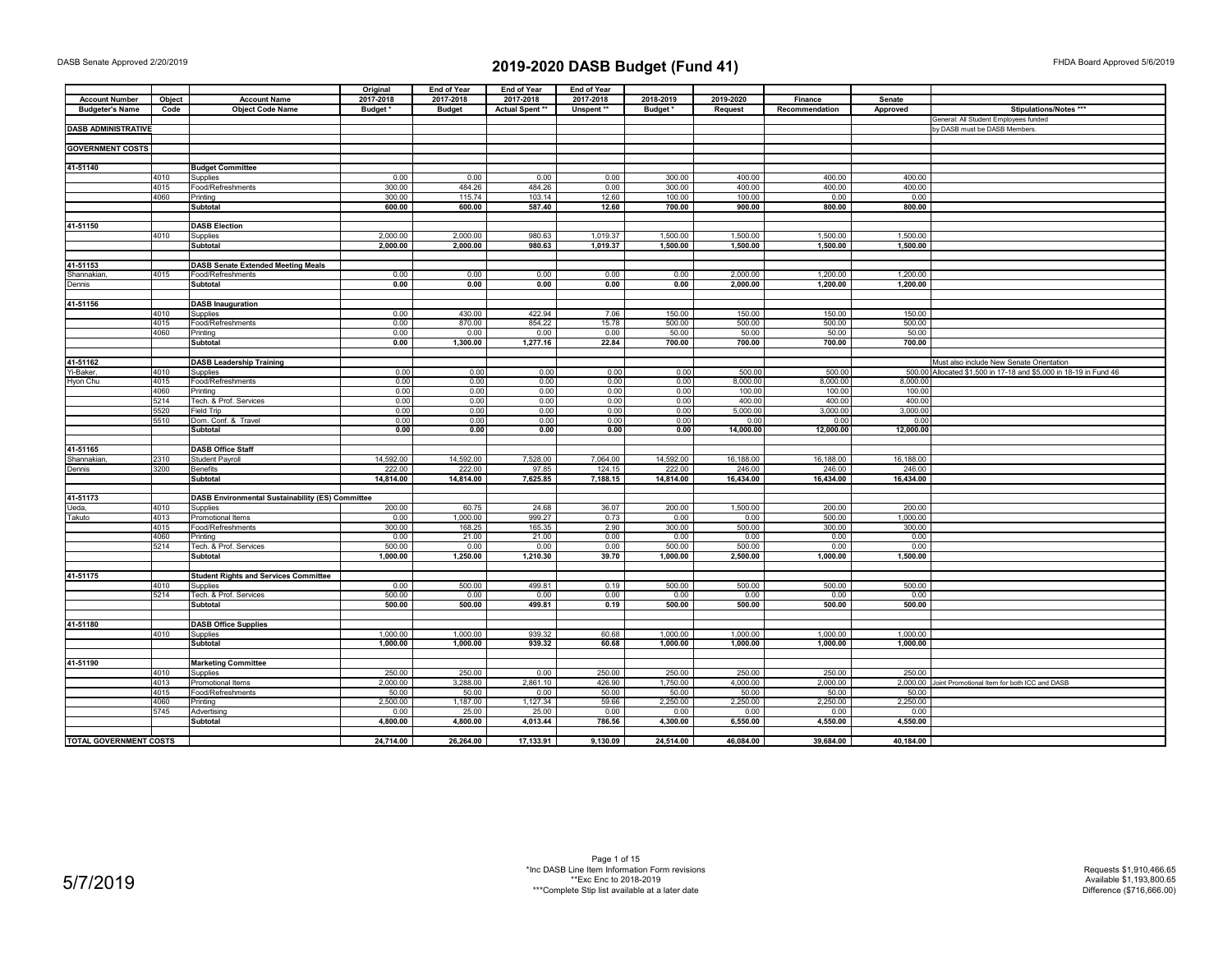|                               |        |                                                  | Original  | <b>End of Year</b> | <b>End of Year</b> | <b>End of Year</b> |           |                |                |           |                                                                   |
|-------------------------------|--------|--------------------------------------------------|-----------|--------------------|--------------------|--------------------|-----------|----------------|----------------|-----------|-------------------------------------------------------------------|
| <b>Account Number</b>         | Object | <b>Account Name</b>                              | 2017-2018 | 2017-2018          | 2017-2018          | 2017-2018          | 2018-2019 | 2019-2020      | Finance        | Senate    |                                                                   |
| <b>Budgeter's Name</b>        | Code   | <b>Object Code Name</b>                          | Budget*   | <b>Budget</b>      | Actual Spent **    | Unspent **         | Budget*   | <b>Request</b> | Recommendation | Approved  | Stipulations/Notes ***                                            |
|                               |        |                                                  |           |                    |                    |                    |           |                |                |           | General: All Student Employees funded                             |
| <b>DASB ADMINISTRATIVE</b>    |        |                                                  |           |                    |                    |                    |           |                |                |           | by DASB must be DASB Members.                                     |
|                               |        |                                                  |           |                    |                    |                    |           |                |                |           |                                                                   |
| <b>GOVERNMENT COSTS</b>       |        |                                                  |           |                    |                    |                    |           |                |                |           |                                                                   |
|                               |        |                                                  |           |                    |                    |                    |           |                |                |           |                                                                   |
| 41-51140                      |        | <b>Budget Committee</b>                          |           |                    |                    |                    |           |                |                |           |                                                                   |
|                               | 4010   | Supplies                                         | 0.00      | 0.00               | 0.00               | 0.00               | 300.00    | 400.00         | 400.00         | 400.00    |                                                                   |
|                               | 4015   | Food/Refreshments                                | 300.00    | 484.26             | 484.26             | 0.00               | 300.00    | 400.00         | 400.00         | 400.00    |                                                                   |
|                               | 4060   | Printing                                         | 300.00    | 115.74             | 103.14             | 12.60              | 100.00    | 100.00         | 0.00           | 0.00      |                                                                   |
|                               |        | Subtotal                                         | 600.00    | 600.00             | 587.40             | 12.60              | 700.00    | 900.00         | 800.00         | 800.00    |                                                                   |
|                               |        |                                                  |           |                    |                    |                    |           |                |                |           |                                                                   |
| 41-51150                      |        | <b>DASB Election</b>                             |           |                    |                    |                    |           |                |                |           |                                                                   |
|                               | 4010   |                                                  | 2,000.00  | 2,000.00           | 980.63             | 1,019.37           | 1,500.00  | 1,500.00       | 1,500.00       | 1,500.00  |                                                                   |
|                               |        | Supplies                                         | 2,000.00  | 2,000.00           | 980.63             |                    | 1,500.00  | 1,500.00       | 1,500.00       |           |                                                                   |
|                               |        | <b>Subtotal</b>                                  |           |                    |                    | 1,019.37           |           |                |                | 1,500.00  |                                                                   |
|                               |        |                                                  |           |                    |                    |                    |           |                |                |           |                                                                   |
| 41-51153                      |        | <b>DASB Senate Extended Meeting Meals</b>        |           |                    |                    |                    |           |                |                |           |                                                                   |
| Shannakian                    | 4015   | Food/Refreshments                                | 0.00      | 0.00               | 0.00               | 0.00               | 0.00      | 2,000.00       | 1,200.00       | 1,200.00  |                                                                   |
| Dennis                        |        | <b>Subtotal</b>                                  | 0.00      | 0.00               | 0.00               | 0.00               | 0.00      | 2,000.00       | 1,200.00       | 1,200.00  |                                                                   |
|                               |        |                                                  |           |                    |                    |                    |           |                |                |           |                                                                   |
| 41-51156                      |        | <b>DASB Inauguration</b>                         |           |                    |                    |                    |           |                |                |           |                                                                   |
|                               | 4010   | Supplies                                         | 0.00      | 430.00             | 422.94             | 7.06               | 150.00    | 150.00         | 150.00         | 150.00    |                                                                   |
|                               | 4015   | Food/Refreshments                                | 0.00      | 870.00             | 854.22             | 15.78              | 500.00    | 500.00         | 500.00         | 500.00    |                                                                   |
|                               | 4060   | Printina                                         | 0.00      | 0.00               | 0.00               | 0.00               | 50.00     | 50.00          | 50.00          | 50.00     |                                                                   |
|                               |        | <b>Subtotal</b>                                  | 0.00      | 1,300.00           | 1,277.16           | 22.84              | 700.00    | 700.00         | 700.00         | 700.00    |                                                                   |
|                               |        |                                                  |           |                    |                    |                    |           |                |                |           |                                                                   |
| 41-51162                      |        | <b>DASB Leadership Training</b>                  |           |                    |                    |                    |           |                |                |           | Must also include New Senate Orientation                          |
| Yi-Baker,                     | 4010   | Supplies                                         | 0.00      | 0.00               | 0.00               | 0.00               | 0.00      | 500.00         | 500.00         |           | 500.00 Allocated \$1,500 in 17-18 and \$5,000 in 18-19 in Fund 46 |
| Hyon Chu                      | 4015   | Food/Refreshments                                | 0.00      | 0.00               | 0.00               | 0.00               | 0.00      | 8.000.00       | 8.000.00       | 8.000.00  |                                                                   |
|                               | 4060   | Printing                                         | 0.00      | 0.00               | 0.00               | 0.00               | 0.00      | 100.00         | 100.00         | 100.00    |                                                                   |
|                               | 5214   | Tech. & Prof. Services                           | 0.00      | 0.00               | 0.00               | 0.00               | 0.00      | 400.00         | 400.00         | 400.00    |                                                                   |
|                               | 5520   | Field Trip                                       | 0.00      | 0.00               | 0.00               | 0.00               | 0.00      | 5,000.00       | 3,000.00       | 3,000.00  |                                                                   |
|                               | 5510   | Dom. Conf. & Travel                              | 0.00      | 0.00               | 0.00               | 0.00               | 0.00      | 0.00           | 0.00           | 0.00      |                                                                   |
|                               |        | <b>Subtotal</b>                                  | 0.00      | 0.00               | 0.00               | 0.00               | 0.00      | 14,000.00      | 12,000.00      | 12,000.00 |                                                                   |
|                               |        |                                                  |           |                    |                    |                    |           |                |                |           |                                                                   |
| 41-51165                      |        | <b>DASB Office Staff</b>                         |           |                    |                    |                    |           |                |                |           |                                                                   |
| Shannakian                    | 2310   | <b>Student Payroll</b>                           | 14,592.00 | 14,592.00          | 7,528.00           | 7,064.00           | 14,592.00 | 16,188.00      | 16,188.00      | 16,188.00 |                                                                   |
| Dennis                        | 3200   | <b>Benefits</b>                                  | 222.00    | 222.00             | 97.85              | 124.15             | 222.00    | 246.00         | 246.00         | 246.00    |                                                                   |
|                               |        | <b>Subtotal</b>                                  | 14,814.00 | 14,814.00          | 7,625.85           | 7,188.15           | 14,814.00 | 16,434.00      | 16,434.00      | 16,434.00 |                                                                   |
|                               |        |                                                  |           |                    |                    |                    |           |                |                |           |                                                                   |
| 41-51173                      |        | DASB Environmental Sustainability (ES) Committee |           |                    |                    |                    |           |                |                |           |                                                                   |
| Ueda,                         | 4010   | Supplies                                         | 200.00    | 60.75              | 24.68              | 36.07              | 200.00    | 1,500.00       | 200.00         | 200.00    |                                                                   |
| Takuto                        | 4013   | Promotional Items                                | 0.00      | 1,000.00           | 999.27             | 0.73               | 0.00      | 0.00           | 500.00         | 1,000.00  |                                                                   |
|                               | 4015   | Food/Refreshments                                | 300.00    | 168.25             | 165.35             | 2.90               | 300.00    | 500.00         | 300.00         | 300.00    |                                                                   |
|                               | 4060   | Printing                                         | 0.00      | 21.00              | 21.00              | 0.00               | 0.00      | 0.00           | 0.00           | 0.00      |                                                                   |
|                               | 5214   | Tech. & Prof. Services                           | 500.00    | 0.00               | 0.00               | 0.00               | 500.00    | 500.00         | 0.00           | 0.00      |                                                                   |
|                               |        | <b>Subtotal</b>                                  | 1,000.00  | 1,250.00           | 1,210.30           | 39.70              | 1,000.00  | 2,500.00       | 1,000.00       | 1,500.00  |                                                                   |
|                               |        |                                                  |           |                    |                    |                    |           |                |                |           |                                                                   |
| 41-51175                      |        | <b>Student Rights and Services Committee</b>     |           |                    |                    |                    |           |                |                |           |                                                                   |
|                               | 4010   | Supplies                                         | 0.00      | 500.00             | 499.81             | 0.19               | 500.00    | 500.00         | 500.00         | 500.00    |                                                                   |
|                               | 5214   | Tech. & Prof. Services                           | 500.00    | 0.00               | 0.00               | 0.00               | 0.00      | 0.00           | 0.00           | 0.00      |                                                                   |
|                               |        | Subtotal                                         | 500.00    | 500.00             | 499.81             | 0.19               | 500.00    | 500.00         | 500.00         | 500.00    |                                                                   |
|                               |        |                                                  |           |                    |                    |                    |           |                |                |           |                                                                   |
| 41-51180                      |        | <b>DASB Office Supplies</b>                      |           |                    |                    |                    |           |                |                |           |                                                                   |
|                               | 4010   | Supplies                                         | 1.000.00  | 1,000.00           | 939.32             | 60.68              | 1,000.00  | 1,000.00       | 1.000.00       | 1.000.00  |                                                                   |
|                               |        | <b>Subtotal</b>                                  | 1,000.00  | 1,000.00           | 939.32             | 60.68              | 1,000.00  | 1,000.00       | 1,000.00       | 1,000.00  |                                                                   |
|                               |        |                                                  |           |                    |                    |                    |           |                |                |           |                                                                   |
| 41-51190                      |        | <b>Marketing Committee</b>                       |           |                    |                    |                    |           |                |                |           |                                                                   |
|                               | 4010   | Supplies                                         | 250.00    | 250.00             | 0.00               | 250.00             | 250.00    | 250.00         | 250.00         | 250.00    |                                                                   |
|                               | 4013   | Promotional Items                                | 2,000.00  | 3,288.00           | 2,861.10           | 426.90             | 1,750.00  | 4,000.00       | 2,000.00       |           | 2,000.00 Joint Promotional Item for both ICC and DASB             |
|                               | 4015   | Food/Refreshments                                | 50.00     | 50.00              | 0.00               | 50.00              | 50.00     | 50.00          | 50.00          | 50.00     |                                                                   |
|                               | 4060   | Printing                                         | 2,500.00  | 1,187.00           | 1,127.34           | 59.66              | 2,250.00  | 2,250.00       | 2,250.00       | 2,250.00  |                                                                   |
|                               | 5745   |                                                  | 0.00      | 25.00              | 25.00              | 0.00               | 0.00      | 0.00           | 0.00           | 0.00      |                                                                   |
|                               |        | Advertising<br><b>Subtotal</b>                   | 4,800.00  | 4,800.00           | 4,013.44           | 786.56             | 4,300.00  | 6,550.00       | 4,550.00       | 4,550.00  |                                                                   |
|                               |        |                                                  |           |                    |                    |                    |           |                |                |           |                                                                   |
| <b>TOTAL GOVERNMENT COSTS</b> |        |                                                  | 24,714.00 | 26,264.00          | 17,133.91          | 9,130.09           | 24,514.00 | 46,084.00      | 39,684.00      | 40,184.00 |                                                                   |
|                               |        |                                                  |           |                    |                    |                    |           |                |                |           |                                                                   |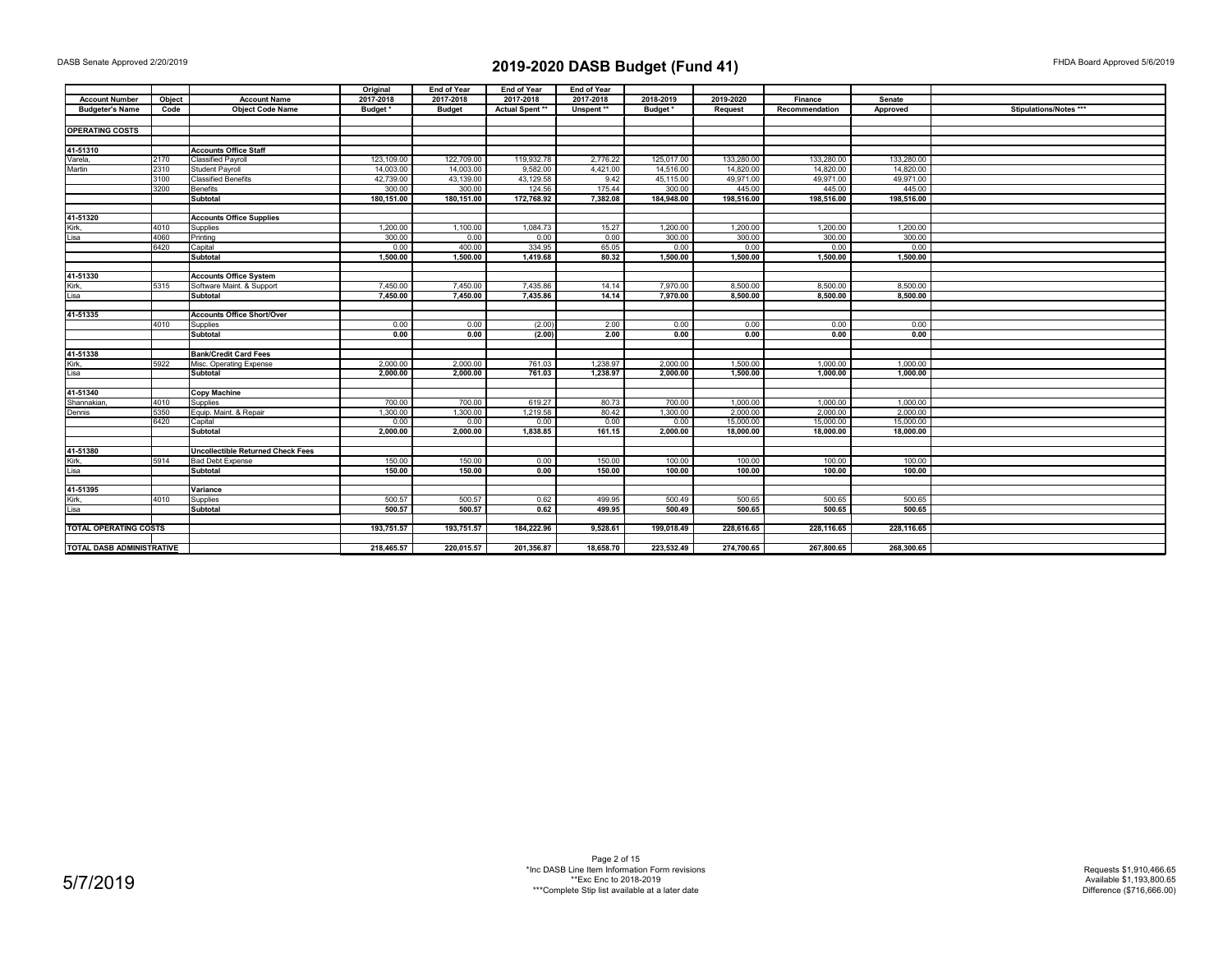|                              |              |                                          | Original           | End of Year        | <b>End of Year</b> | <b>End of Year</b> |                    |                      |                        |                      |                        |
|------------------------------|--------------|------------------------------------------|--------------------|--------------------|--------------------|--------------------|--------------------|----------------------|------------------------|----------------------|------------------------|
| <b>Account Number</b>        | Object       | <b>Account Name</b>                      | 2017-2018          | 2017-2018          | 2017-2018          | 2017-2018          | 2018-2019          | 2019-2020            | Finance                | Senate               |                        |
| <b>Budgeter's Name</b>       | Code         | <b>Object Code Name</b>                  | Budget*            | <b>Budget</b>      | Actual Spent **    | Unspent **         | Budget*            | <b>Request</b>       | Recommendation         | Approved             | Stipulations/Notes *** |
|                              |              |                                          |                    |                    |                    |                    |                    |                      |                        |                      |                        |
| <b>OPERATING COSTS</b>       |              |                                          |                    |                    |                    |                    |                    |                      |                        |                      |                        |
|                              |              |                                          |                    |                    |                    |                    |                    |                      |                        |                      |                        |
| 41-51310                     |              | <b>Accounts Office Staff</b>             |                    |                    |                    |                    |                    |                      |                        |                      |                        |
| Varela,                      | 2170         | <b>Classified Payroll</b>                | 123.109.00         | 122,709.00         | 119.932.78         | 2,776.22           | 125.017.00         | 133.280.00           | 133,280.00             | 133,280.00           |                        |
| Martin                       | 2310         | <b>Student Payroll</b>                   | 14,003.00          | 14,003.00          | 9,582.00           | 4,421.00           | 14,516.00          | 14.820.00            | 14,820.00              | 14,820.00            |                        |
|                              | 3100         | <b>Classified Benefits</b>               | 42,739.00          | 43,139.00          | 43,129.58          | 9.42               | 45,115.00          | 49,971.00            | 49,971.00              | 49,971.00            |                        |
|                              | 3200         | <b>Benefits</b>                          | 300.00             | 300.00             | 124.56             | 175.44             | 300.00             | 445.00               | 445.00                 | 445.00               |                        |
|                              |              | Subtotal                                 | 180,151.00         | 180,151.00         | 172,768.92         | 7,382.08           | 184,948.00         | 198,516.00           | 198,516.00             | 198,516.00           |                        |
|                              |              |                                          |                    |                    |                    |                    |                    |                      |                        |                      |                        |
| 41-51320                     |              | <b>Accounts Office Supplies</b>          |                    |                    |                    |                    |                    |                      |                        |                      |                        |
| Kirk,                        | 4010         | Supplies                                 | 1,200.00           | 1,100.00           | 1,084.73           | 15.27              | 1,200.00           | 1,200.00             | 1.200.00               | 1,200.00             |                        |
| Lisa                         | 4060         | Printing                                 | 300.00             | 0.00               | 0.00               | 0.00               | 300.00             | 300.00               | 300.00                 | 300.00               |                        |
|                              | 6420         | Capital                                  | 0.00               | 400.00             | 334.95             | 65.05              | 0.00               | 0.00                 | 0.00                   | 0.00                 |                        |
|                              |              | Subtotal                                 | 1,500.00           | 1,500.00           | 1,419.68           | 80.32              | 1,500.00           | 1,500.00             | 1,500.00               | 1,500.00             |                        |
|                              |              |                                          |                    |                    |                    |                    |                    |                      |                        |                      |                        |
| 41-51330                     |              | <b>Accounts Office System</b>            |                    |                    |                    |                    |                    |                      |                        |                      |                        |
| Kirk,                        | 5315         | Software Maint. & Support                | 7.450.00           | 7.450.00           | 7,435.86           | 14.14              | 7.970.00           | 8,500.00             | 8,500.00               | 8,500.00             |                        |
| Lisa                         |              | <b>Subtotal</b>                          | 7,450.00           | 7,450.00           | 7,435.86           | 14.14              | 7,970.00           | 8,500.00             | 8,500.00               | 8,500.00             |                        |
|                              |              |                                          |                    |                    |                    |                    |                    |                      |                        |                      |                        |
| 41-51335                     |              | <b>Accounts Office Short/Over</b>        |                    |                    |                    |                    |                    |                      |                        |                      |                        |
|                              | 4010         | Supplies                                 | 0.00               | 0.00               | (2.00)             | 2.00               | 0.00               | 0.00                 | 0.00                   | 0.00                 |                        |
|                              |              | Subtotal                                 | 0.00               | 0.00               | (2.00)             | 2.00               | 0.00               | 0.00                 | 0.00                   | 0.00                 |                        |
|                              |              |                                          |                    |                    |                    |                    |                    |                      |                        |                      |                        |
| 41-51338                     |              | <b>Bank/Credit Card Fees</b>             |                    |                    |                    |                    |                    |                      |                        |                      |                        |
| Kirk,                        | 5922         | Misc. Operating Expense                  | 2,000.00           | 2,000.00           | 761.03             | 1,238.97           | 2,000.00           | 1,500.00             | 1.000.00               | 1,000.00             |                        |
| Lisa                         |              | Subtotal                                 | 2,000.00           | 2,000.00           | 761.03             | 1,238.97           | 2,000.00           | 1,500.00             | 1,000.00               | 1,000.00             |                        |
|                              |              |                                          |                    |                    |                    |                    |                    |                      |                        |                      |                        |
| 41-51340                     |              | <b>Copy Machine</b>                      |                    |                    |                    |                    |                    |                      |                        |                      |                        |
| Shannakian.                  | 4010<br>5350 | Supplies<br>Equip. Maint. & Repair       | 700.00<br>1,300.00 | 700.00<br>1,300.00 | 619.27<br>1,219.58 | 80.73<br>80.42     | 700.00<br>1,300.00 | 1,000.00<br>2,000.00 | 1,000.00<br>2,000.00   | 1,000.00<br>2,000.00 |                        |
| Dennis                       | 6420         | Capital                                  |                    |                    |                    |                    |                    | 15,000.00            |                        | 15,000.00            |                        |
|                              |              |                                          | 0.00<br>2,000.00   | 0.00<br>2,000.00   | 0.00<br>1,838.85   | 0.00<br>161.15     | 0.00<br>2,000.00   | 18,000.00            | 15,000.00<br>18,000.00 | 18,000.00            |                        |
|                              |              | Subtotal                                 |                    |                    |                    |                    |                    |                      |                        |                      |                        |
| 41-51380                     |              | <b>Uncollectible Returned Check Fees</b> |                    |                    |                    |                    |                    |                      |                        |                      |                        |
| Kirk,                        | 5914         | <b>Bad Debt Expense</b>                  | 150.00             | 150.00             | 0.00               | 150.00             | 100.00             | 100.00               | 100.00                 | 100.00               |                        |
| Lisa                         |              | <b>Subtotal</b>                          | 150.00             | 150.00             | 0.00               | 150.00             | 100.00             | 100.00               | 100.00                 | 100.00               |                        |
|                              |              |                                          |                    |                    |                    |                    |                    |                      |                        |                      |                        |
| 41-51395                     |              | Variance                                 |                    |                    |                    |                    |                    |                      |                        |                      |                        |
| Kirk,                        | 4010         | Supplies                                 | 500.57             | 500.57             | 0.62               | 499.95             | 500.49             | 500.65               | 500.65                 | 500.65               |                        |
| Lisa                         |              | Subtotal                                 | 500.57             | 500.57             | 0.62               | 499.95             | 500.49             | 500.65               | 500.65                 | 500.65               |                        |
|                              |              |                                          |                    |                    |                    |                    |                    |                      |                        |                      |                        |
| <b>TOTAL OPERATING COSTS</b> |              |                                          | 193,751.57         | 193,751.57         | 184.222.96         | 9,528.61           | 199,018.49         | 228,616.65           | 228,116.65             | 228,116.65           |                        |
|                              |              |                                          |                    |                    |                    |                    |                    |                      |                        |                      |                        |
| TOTAL DASB ADMINISTRATIVE    |              |                                          | 218,465.57         | 220,015.57         | 201,356.87         | 18,658.70          | 223.532.49         | 274,700.65           | 267,800.65             | 268,300.65           |                        |
|                              |              |                                          |                    |                    |                    |                    |                    |                      |                        |                      |                        |

Page 2 of 15 \*Inc DASB Line Item Information Form revisions \*\*Exc Enc to 2018-2019 \*\*\*Complete Stip list available at a later date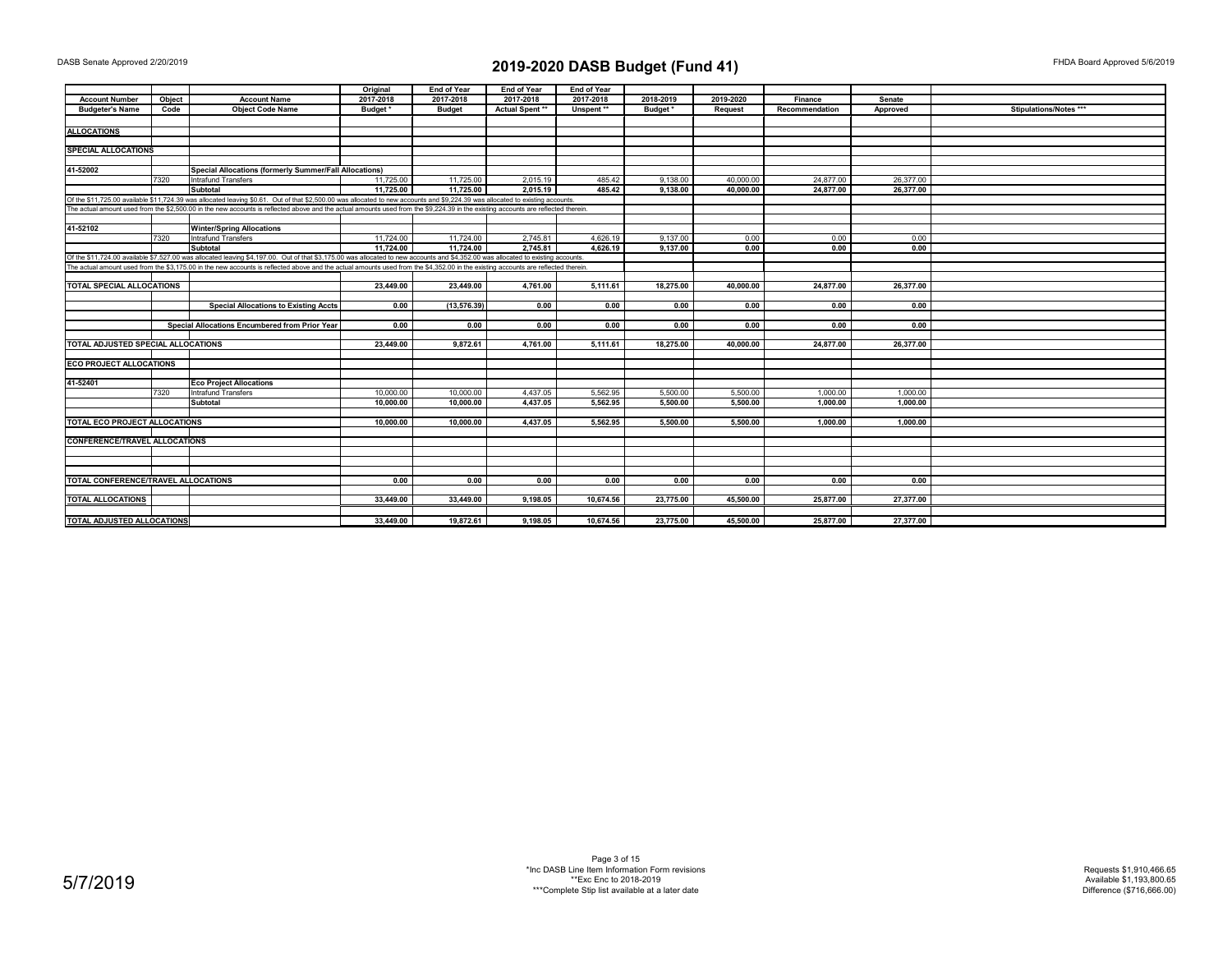|                                      |        |                                                                                                                                                                                   | Original  | End of Year   | End of Year     | End of Year |           |                |                |           |                        |
|--------------------------------------|--------|-----------------------------------------------------------------------------------------------------------------------------------------------------------------------------------|-----------|---------------|-----------------|-------------|-----------|----------------|----------------|-----------|------------------------|
| <b>Account Number</b>                | Object | <b>Account Name</b>                                                                                                                                                               | 2017-2018 | 2017-2018     | 2017-2018       | 2017-2018   | 2018-2019 | 2019-2020      | Finance        | Senate    |                        |
| <b>Budgeter's Name</b>               | Code   | <b>Object Code Name</b>                                                                                                                                                           | Budget*   | <b>Budget</b> | Actual Spent ** | Unspent**   | Budget*   | <b>Request</b> | Recommendation | Approved  | Stipulations/Notes *** |
|                                      |        |                                                                                                                                                                                   |           |               |                 |             |           |                |                |           |                        |
| <b>ALLOCATIONS</b>                   |        |                                                                                                                                                                                   |           |               |                 |             |           |                |                |           |                        |
|                                      |        |                                                                                                                                                                                   |           |               |                 |             |           |                |                |           |                        |
| <b>SPECIAL ALLOCATIONS</b>           |        |                                                                                                                                                                                   |           |               |                 |             |           |                |                |           |                        |
|                                      |        |                                                                                                                                                                                   |           |               |                 |             |           |                |                |           |                        |
| 41-52002                             |        | <b>Special Allocations (formerly Summer/Fall Allocations)</b>                                                                                                                     |           |               |                 |             |           |                |                |           |                        |
|                                      | 7320   | <b>Intrafund Transfers</b>                                                                                                                                                        | 11,725.00 | 11,725.00     | 2.015.19        | 485.42      | 9.138.00  | 40,000,00      | 24,877.00      | 26,377.00 |                        |
|                                      |        | <b>Subtotal</b>                                                                                                                                                                   | 11.725.00 | 11.725.00     | 2.015.19        | 485.42      | 9,138.00  | 40.000.00      | 24.877.00      | 26,377.00 |                        |
|                                      |        | Of the \$11,725.00 available \$11,724.39 was allocated leaving \$0.61. Out of that \$2,500.00 was allocated to new accounts and \$9,224.39 was allocated to existing accounts.    |           |               |                 |             |           |                |                |           |                        |
|                                      |        | The actual amount used from the \$2,500.00 in the new accounts is reflected above and the actual amounts used from the \$9,224.39 in the existing accounts are reflected therein. |           |               |                 |             |           |                |                |           |                        |
|                                      |        |                                                                                                                                                                                   |           |               |                 |             |           |                |                |           |                        |
| 41-52102                             |        | <b>Winter/Spring Allocations</b>                                                                                                                                                  |           |               |                 |             |           |                |                |           |                        |
|                                      | 7320   | Intrafund Transfers                                                                                                                                                               | 11,724.00 | 11,724.00     | 2,745.81        | 4.626.19    | 9,137.00  | 0.00           | 0.00           | 0.00      |                        |
|                                      |        | <b>Subtotal</b>                                                                                                                                                                   | 11.724.00 | 11.724.00     | 2.745.81        | 4.626.19    | 9,137.00  | 0.00           | 0.00           | 0.00      |                        |
|                                      |        | Of the \$11,724.00 available \$7,527.00 was allocated leaving \$4,197.00. Out of that \$3,175.00 was allocated to new accounts and \$4,352.00 was allocated to existing accounts. |           |               |                 |             |           |                |                |           |                        |
|                                      |        | The actual amount used from the \$3,175.00 in the new accounts is reflected above and the actual amounts used from the \$4,352.00 in the existing accounts are reflected therein. |           |               |                 |             |           |                |                |           |                        |
|                                      |        |                                                                                                                                                                                   |           |               |                 |             |           |                |                |           |                        |
| <b>TOTAL SPECIAL ALLOCATIONS</b>     |        |                                                                                                                                                                                   | 23,449.00 | 23,449.00     | 4,761.00        | 5,111.61    | 18,275.00 | 40,000.00      | 24,877.00      | 26,377.00 |                        |
|                                      |        |                                                                                                                                                                                   |           |               |                 |             |           |                |                |           |                        |
|                                      |        |                                                                                                                                                                                   | 0.00      | (13, 576.39)  | 0.00            | 0.00        | 0.00      | 0.00           | 0.00           | 0.00      |                        |
|                                      |        | <b>Special Allocations to Existing Accts</b>                                                                                                                                      |           |               |                 |             |           |                |                |           |                        |
|                                      |        |                                                                                                                                                                                   |           |               |                 |             |           |                |                |           |                        |
|                                      |        | Special Allocations Encumbered from Prior Year                                                                                                                                    | 0.00      | 0.00          | 0.00            | 0.00        | 0.00      | 0.00           | 0.00           | 0.00      |                        |
| TOTAL ADJUSTED SPECIAL ALLOCATIONS   |        |                                                                                                                                                                                   | 23,449.00 | 9.872.61      | 4.761.00        |             | 18.275.00 | 40.000.00      | 24.877.00      |           |                        |
|                                      |        |                                                                                                                                                                                   |           |               |                 | 5.111.61    |           |                |                | 26,377.00 |                        |
|                                      |        |                                                                                                                                                                                   |           |               |                 |             |           |                |                |           |                        |
| <b>ECO PROJECT ALLOCATIONS</b>       |        |                                                                                                                                                                                   |           |               |                 |             |           |                |                |           |                        |
|                                      |        |                                                                                                                                                                                   |           |               |                 |             |           |                |                |           |                        |
| 41-52401                             |        | <b>Eco Project Allocations</b>                                                                                                                                                    |           |               |                 |             |           |                |                |           |                        |
|                                      | 7320   | Intrafund Transfers                                                                                                                                                               | 10,000.00 | 10,000.00     | 4,437.05        | 5,562.95    | 5,500.00  | 5,500.00       | 1,000.00       | 1,000.00  |                        |
|                                      |        | <b>Subtotal</b>                                                                                                                                                                   | 10.000.00 | 10,000.00     | 4,437.05        | 5.562.95    | 5.500.00  | 5.500.00       | 1.000.00       | 1.000.00  |                        |
|                                      |        |                                                                                                                                                                                   |           |               |                 |             |           |                |                |           |                        |
| TOTAL ECO PROJECT ALLOCATIONS        |        |                                                                                                                                                                                   | 10.000.00 | 10,000.00     | 4.437.05        | 5.562.95    | 5.500.00  | 5,500.00       | 1,000.00       | 1,000.00  |                        |
|                                      |        |                                                                                                                                                                                   |           |               |                 |             |           |                |                |           |                        |
| <b>CONFERENCE/TRAVEL ALLOCATIONS</b> |        |                                                                                                                                                                                   |           |               |                 |             |           |                |                |           |                        |
|                                      |        |                                                                                                                                                                                   |           |               |                 |             |           |                |                |           |                        |
|                                      |        |                                                                                                                                                                                   |           |               |                 |             |           |                |                |           |                        |
|                                      |        |                                                                                                                                                                                   |           |               |                 |             |           |                |                |           |                        |
| TOTAL CONFERENCE/TRAVEL ALLOCATIONS  |        |                                                                                                                                                                                   | 0.00      | 0.00          | 0.00            | 0.00        | 0.00      | 0.00           | 0.00           | 0.00      |                        |
|                                      |        |                                                                                                                                                                                   |           |               |                 |             |           |                |                |           |                        |
| <b>TOTAL ALLOCATIONS</b>             |        |                                                                                                                                                                                   | 33,449.00 | 33,449.00     | 9,198.05        | 10,674.56   | 23,775.00 | 45,500.00      | 25,877.00      | 27,377.00 |                        |
|                                      |        |                                                                                                                                                                                   |           |               |                 |             |           |                |                |           |                        |
| TOTAL ADJUSTED ALLOCATIONS           |        |                                                                                                                                                                                   | 33,449.00 | 19,872.61     | 9,198.05        | 10,674.56   | 23,775.00 | 45,500.00      | 25,877.00      | 27,377.00 |                        |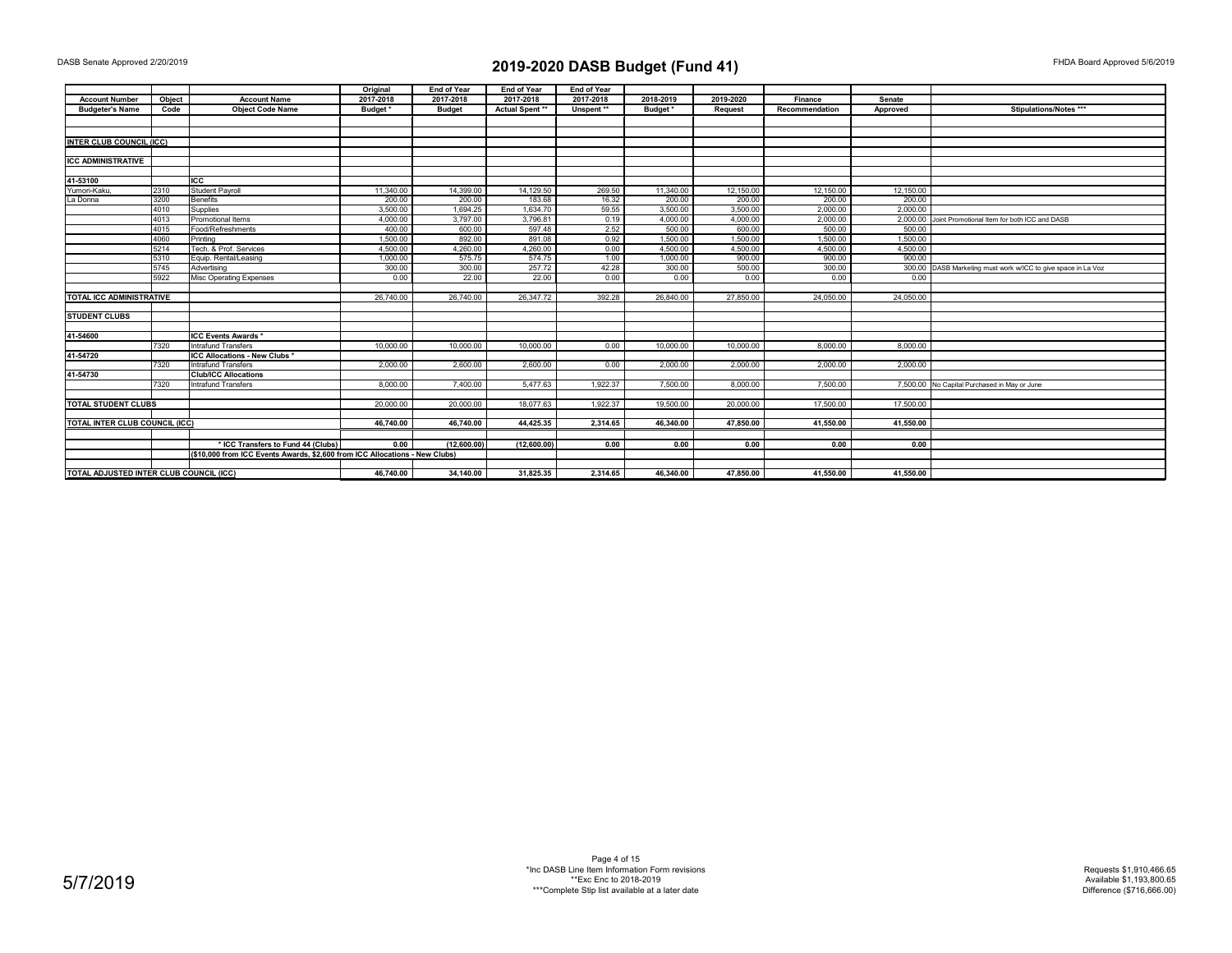|                                 |                                         |                                                                             | Original  | <b>End of Year</b> | <b>End of Year</b>     | <b>End of Year</b> |           |                |                |           |                                                               |
|---------------------------------|-----------------------------------------|-----------------------------------------------------------------------------|-----------|--------------------|------------------------|--------------------|-----------|----------------|----------------|-----------|---------------------------------------------------------------|
| <b>Account Number</b>           | Object                                  | <b>Account Name</b>                                                         | 2017-2018 | 2017-2018          | 2017-2018              | 2017-2018          | 2018-2019 | 2019-2020      | Finance        | Senate    |                                                               |
| <b>Budgeter's Name</b>          | Code                                    | <b>Object Code Name</b>                                                     | Budget *  | <b>Budget</b>      | <b>Actual Spent **</b> | Unspent**          | Budget*   | <b>Request</b> | Recommendation | Approved  | Stipulations/Notes ***                                        |
|                                 |                                         |                                                                             |           |                    |                        |                    |           |                |                |           |                                                               |
|                                 |                                         |                                                                             |           |                    |                        |                    |           |                |                |           |                                                               |
| <b>INTER CLUB COUNCIL (ICC)</b> |                                         |                                                                             |           |                    |                        |                    |           |                |                |           |                                                               |
|                                 |                                         |                                                                             |           |                    |                        |                    |           |                |                |           |                                                               |
| <b>ICC ADMINISTRATIVE</b>       |                                         |                                                                             |           |                    |                        |                    |           |                |                |           |                                                               |
|                                 |                                         |                                                                             |           |                    |                        |                    |           |                |                |           |                                                               |
| 41-53100                        |                                         | <b>ICC</b>                                                                  |           |                    |                        |                    |           |                |                |           |                                                               |
| Yumori-Kaku,                    | 2310                                    | <b>Student Payroll</b>                                                      | 11,340.00 | 14,399.00          | 14,129.50              | 269.50             | 11,340.00 | 12,150.00      | 12,150.00      | 12,150.00 |                                                               |
| La Donna                        | 3200                                    | <b>Benefits</b>                                                             | 200.00    | 200.00             | 183.68                 | 16.32              | 200.00    | 200.00         | 200.00         | 200.00    |                                                               |
|                                 | 4010                                    | Supplies                                                                    | 3.500.00  | 1.694.25           | 1.634.70               | 59.55              | 3.500.00  | 3.500.00       | 2.000.00       | 2.000.00  |                                                               |
|                                 | 4013                                    | Promotional Items                                                           | 4.000.00  | 3,797.00           | 3,796.81               | 0.19               | 4.000.00  | 4.000.00       | 2.000.00       | 2.000.00  | Joint Promotional Item for both ICC and DASB                  |
|                                 | 4015                                    | Food/Refreshments                                                           | 400.00    | 600.00             | 597.48                 | 2.52               | 500.00    | 600.00         | 500.00         | 500.00    |                                                               |
|                                 | 4060                                    | Printing                                                                    | 1,500.00  | 892.00             | 891.08                 | 0.92               | 1,500.00  | 1,500.00       | 1,500.00       | 1,500.00  |                                                               |
|                                 | 5214                                    | Tech, & Prof. Services                                                      | 4.500.00  | 4.260.00           | 4.260.00               | 0.00               | 4.500.00  | 4.500.00       | 4.500.00       | 4.500.00  |                                                               |
|                                 | 5310                                    | Equip. Rental/Leasing                                                       | 1.000.00  | 575.75             | 574.75                 | 1.00               | 1.000.00  | 900.00         | 900.00         | 900.00    |                                                               |
|                                 | 5745                                    | Advertising                                                                 | 300.00    | 300.00             | 257.72                 | 42.28              | 300.00    | 500.00         | 300.00         |           | 300.00 DASB Marketing must work w/ICC to give space in La Voz |
|                                 | 5922                                    | <b>Misc Operating Expenses</b>                                              | 0.00      | 22.00              | 22.00                  | 0.00               | 0.00      | 0.00           | 0.00           | 0.00      |                                                               |
|                                 |                                         |                                                                             |           |                    |                        |                    |           |                |                |           |                                                               |
| <b>TOTAL ICC ADMINISTRATIVE</b> |                                         |                                                                             | 26,740.00 | 26,740.00          | 26.347.72              | 392.28             | 26.840.00 | 27,850,00      | 24.050.00      | 24.050.00 |                                                               |
|                                 |                                         |                                                                             |           |                    |                        |                    |           |                |                |           |                                                               |
| <b>STUDENT CLUBS</b>            |                                         |                                                                             |           |                    |                        |                    |           |                |                |           |                                                               |
|                                 |                                         |                                                                             |           |                    |                        |                    |           |                |                |           |                                                               |
| 41-54600                        |                                         | <b>ICC Events Awards *</b>                                                  |           |                    |                        |                    |           |                |                |           |                                                               |
|                                 | 7320                                    | <b>Intrafund Transfers</b>                                                  | 10,000.00 | 10,000.00          | 10.000.00              | 0.00               | 10,000.00 | 10.000.00      | 8,000.00       | 8,000.00  |                                                               |
| 41-54720                        |                                         | ICC Allocations - New Clubs *                                               |           |                    |                        |                    |           |                |                |           |                                                               |
|                                 | 7320                                    | Intrafund Transfers                                                         | 2.000.00  | 2.600.00           | 2.600.00               | 0.00               | 2.000.00  | 2.000.00       | 2.000.00       | 2.000.00  |                                                               |
| 41-54730                        |                                         | <b>Club/ICC Allocations</b>                                                 |           |                    |                        |                    |           |                |                |           |                                                               |
|                                 | 7320                                    | <b>Intrafund Transfers</b>                                                  | 8.000.00  | 7.400.00           | 5.477.63               | 1.922.37           | 7.500.00  | 8.000.00       | 7.500.00       |           | 7,500.00 No Capital Purchased in May or June                  |
|                                 |                                         |                                                                             |           |                    |                        |                    |           |                |                |           |                                                               |
| <b>TOTAL STUDENT CLUBS</b>      |                                         |                                                                             | 20,000.00 | 20,000.00          | 18.077.63              | 1.922.37           | 19,500.00 | 20,000,00      | 17,500.00      | 17,500.00 |                                                               |
| TOTAL INTER CLUB COUNCIL (ICC)  |                                         |                                                                             | 46,740.00 | 46,740.00          | 44,425.35              | 2,314.65           | 46,340.00 | 47,850.00      | 41,550.00      | 41,550.00 |                                                               |
|                                 |                                         |                                                                             |           |                    |                        |                    |           |                |                |           |                                                               |
|                                 |                                         |                                                                             |           |                    |                        |                    |           |                |                |           |                                                               |
|                                 |                                         | * ICC Transfers to Fund 44 (Clubs)                                          | 0.00      | (12,600.00)        | (12,600.00)            | 0.00               | 0.00      | 0.00           | 0.00           | 0.00      |                                                               |
|                                 |                                         | (\$10,000 from ICC Events Awards, \$2,600 from ICC Allocations - New Clubs) |           |                    |                        |                    |           |                |                |           |                                                               |
|                                 |                                         |                                                                             | 46.740.00 | 34.140.00          | 31.825.35              | 2.314.65           | 46,340.00 | 47.850.00      | 41.550.00      | 41.550.00 |                                                               |
|                                 | TOTAL ADJUSTED INTER CLUB COUNCIL (ICC) |                                                                             |           |                    |                        |                    |           |                |                |           |                                                               |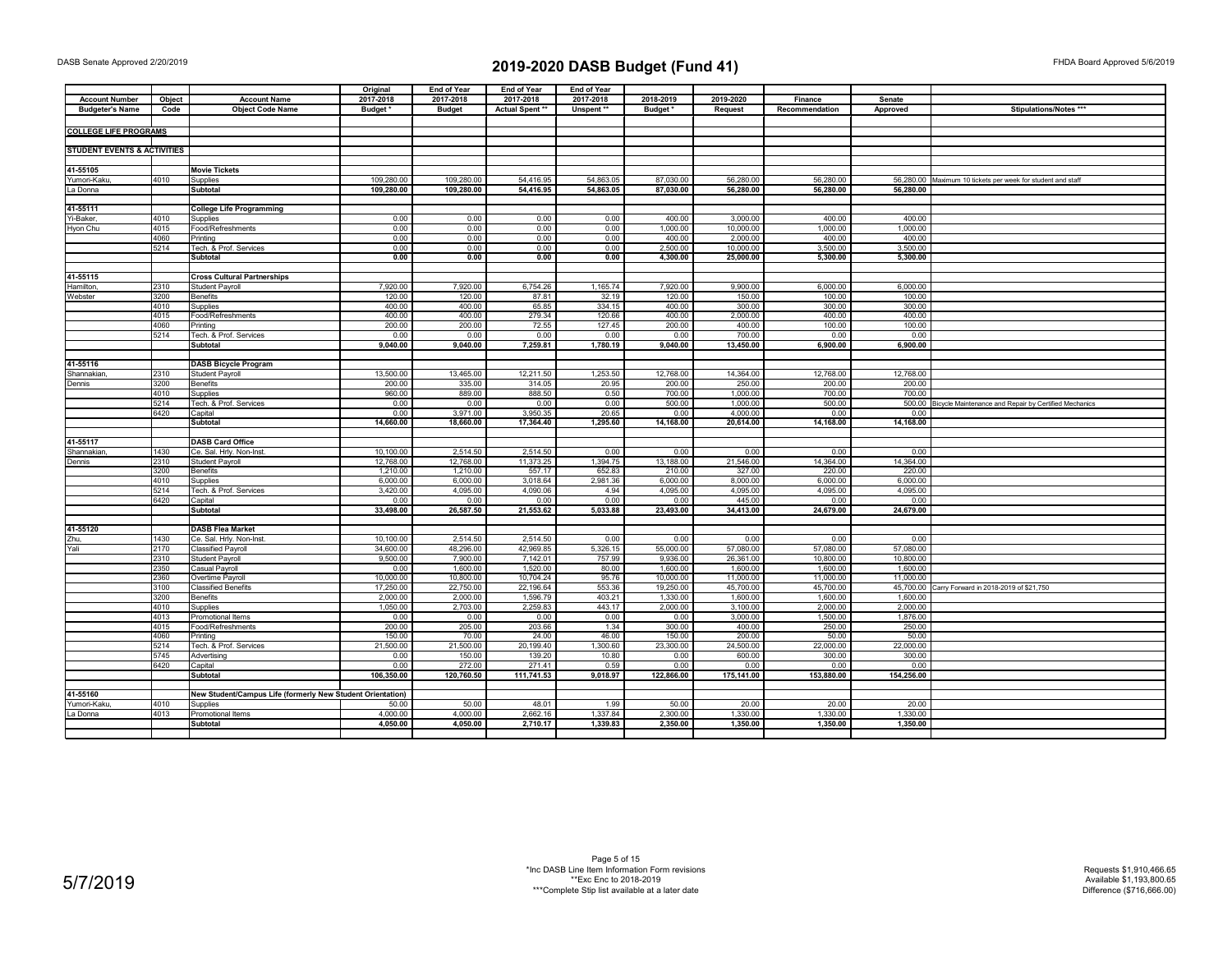|                                        |              |                                                            | Original     | <b>End of Year</b> | <b>End of Year</b>  | End of Year       |                    |                       |                     |                     |                                                              |
|----------------------------------------|--------------|------------------------------------------------------------|--------------|--------------------|---------------------|-------------------|--------------------|-----------------------|---------------------|---------------------|--------------------------------------------------------------|
| <b>Account Number</b>                  | Object       | <b>Account Name</b>                                        | 2017-2018    | 2017-2018          | 2017-2018           | 2017-2018         | 2018-2019          | 2019-2020             | Finance             | Senate              |                                                              |
| <b>Budgeter's Name</b>                 | Code         | <b>Object Code Name</b>                                    | Budget *     | <b>Budget</b>      | Actual Spent **     | Unspent**         | Budget*            | <b>Request</b>        | Recommendation      | Approved            | Stipulations/Notes ***                                       |
|                                        |              |                                                            |              |                    |                     |                   |                    |                       |                     |                     |                                                              |
| <b>COLLEGE LIFE PROGRAMS</b>           |              |                                                            |              |                    |                     |                   |                    |                       |                     |                     |                                                              |
|                                        |              |                                                            |              |                    |                     |                   |                    |                       |                     |                     |                                                              |
| <b>STUDENT EVENTS &amp; ACTIVITIES</b> |              |                                                            |              |                    |                     |                   |                    |                       |                     |                     |                                                              |
|                                        |              |                                                            |              |                    |                     |                   |                    |                       |                     |                     |                                                              |
| 41-55105                               |              | <b>Movie Tickets</b>                                       |              |                    |                     |                   |                    |                       |                     |                     |                                                              |
| Yumori-Kaku,                           | 4010         | Supplies                                                   | 109,280.00   | 109,280.00         | 54,416.95           | 54,863.05         | 87,030.00          | 56,280.00             | 56,280.00           |                     | 56,280.00 Maximum 10 tickets per week for student and staff  |
| La Donna                               |              | Subtotal                                                   | 109,280.00   | 109,280.00         | 54,416.95           | 54,863.05         | 87,030.00          | 56,280.00             | 56,280.00           | 56,280.00           |                                                              |
|                                        |              |                                                            |              |                    |                     |                   |                    |                       |                     |                     |                                                              |
| 41-55111                               |              | <b>College Life Programming</b>                            |              |                    |                     |                   |                    |                       |                     |                     |                                                              |
| Yi-Baker,                              | 4010         | Supplies                                                   | 0.00         | 0.00               | 0.00                | 0.00              | 400.00             | 3,000.00              | 400.00              | 400.00              |                                                              |
| Hyon Chu                               | 4015<br>4060 | Food/Refreshments<br>Printing                              | 0.00<br>0.00 | 0.00<br>0.00       | 0.00<br>0.00        | 0.00<br>0.00      | 1,000.00<br>400.00 | 10,000.00<br>2,000.00 | 1,000.00<br>400.00  | 1,000.00<br>400.00  |                                                              |
|                                        | 5214         | Tech. & Prof. Services                                     | 0.00         | 0.00               | 0.00                | 0.00              | 2.500.00           | 10.000.00             | 3.500.00            | 3.500.00            |                                                              |
|                                        |              | Subtotal                                                   | 0.00         | 0.00               | 0.00                | 0.00              | 4,300.00           | 25,000.00             | 5,300.00            | 5,300.00            |                                                              |
|                                        |              |                                                            |              |                    |                     |                   |                    |                       |                     |                     |                                                              |
| 41-55115                               |              | <b>Cross Cultural Partnerships</b>                         |              |                    |                     |                   |                    |                       |                     |                     |                                                              |
| Hamilton,                              | 2310         | <b>Student Payroll</b>                                     | 7,920.00     | 7,920.00           | 6,754.26            | 1,165.74          | 7,920.00           | 9,900.00              | 6,000.00            | 6,000.00            |                                                              |
| Webster                                | 3200         | <b>Benefits</b>                                            | 120.00       | 120.00             | 87.81               | 32.19             | 120.00             | 150.00                | 100.00              | 100.00              |                                                              |
|                                        | 4010         | Supplies                                                   | 400.00       | 400.00             | 65.85               | 334.15            | 400.00             | 300.00                | 300.00              | 300.00              |                                                              |
|                                        | 4015         | Food/Refreshments                                          | 400.00       | 400.00             | 279.34              | 120.66            | 400.00             | 2,000.00              | 400.00              | 400.00              |                                                              |
|                                        | 4060         | Printing                                                   | 200.00       | 200.00             | 72.55               | 127.45            | 200.00             | 400.00                | 100.00              | 100.00              |                                                              |
|                                        | 5214         | Tech. & Prof. Services                                     | 0.00         | 0.00               | 0.00                | 0.00              | 0.00               | 700.00                | 0.00                | 0.00                |                                                              |
|                                        |              | Subtotal                                                   | 9,040.00     | 9,040.00           | 7,259.81            | 1,780.19          | 9,040.00           | 13,450.00             | 6,900.00            | 6,900.00            |                                                              |
|                                        |              |                                                            |              |                    |                     |                   |                    |                       |                     |                     |                                                              |
| 41-55116                               |              | <b>DASB Bicycle Program</b>                                |              |                    |                     |                   |                    |                       |                     |                     |                                                              |
| Shannakian                             | 2310         | <b>Student Payroll</b>                                     | 13,500.00    | 13,465.00          | 12,211.50           | 1,253.50          | 12,768.00          | 14,364.00             | 12,768.00           | 12,768.00           |                                                              |
| Dennis                                 | 3200         | <b>Benefits</b>                                            | 200.00       | 335.00             | 314.05              | 20.95             | 200.00             | 250.00                | 200.00              | 200.00              |                                                              |
|                                        | 4010         | Supplies                                                   | 960.00       | 889.00             | 888.50              | 0.50              | 700.00             | 1.000.00              | 700.00              | 700.00              |                                                              |
|                                        | 5214         | Tech. & Prof. Services                                     | 0.00         | 0.00               | 0.00                | 0.00              | 500.00             | 1,000.00              | 500.00              |                     | 500.00 Bicycle Maintenance and Repair by Certified Mechanics |
|                                        | 6420         | Capital                                                    | 0.00         | 3,971.00           | 3,950.35            | 20.65             | 0.00               | 4,000.00              | 0.00                | 0.00                |                                                              |
|                                        |              | Subtotal                                                   | 14,660.00    | 18,660.00          | 17,364.40           | 1,295.60          | 14,168.00          | 20,614.00             | 14,168.00           | 14,168.00           |                                                              |
|                                        |              |                                                            |              |                    |                     |                   |                    |                       |                     |                     |                                                              |
| 41-55117                               |              | <b>DASB Card Office</b>                                    | 10,100.00    | 2,514.50           | 2,514.50            | 0.00              | 0.00               | 0.00                  | 0.00                | 0.00                |                                                              |
| Shannakiar<br>Dennis                   | 1430<br>2310 | Ce. Sal. Hrly. Non-Inst<br><b>Student Payroll</b>          | 12,768.00    | 12,768.00          | 11,373.25           | 1,394.75          | 13,188.00          | 21,546.00             | 14,364.00           | 14,364.00           |                                                              |
|                                        | 3200         | <b>Benefits</b>                                            | 1,210.00     | 1,210.00           | 557.17              | 652.83            | 210.00             | 327.00                | 220.00              | 220.00              |                                                              |
|                                        | 4010         | Supplies                                                   | 6,000.00     | 6,000.00           | 3,018.64            | 2,981.36          | 6,000.00           | 8,000.00              | 6,000.00            | 6,000.00            |                                                              |
|                                        | 5214         | Tech. & Prof. Services                                     | 3,420.00     | 4,095.00           | 4,090.06            | 4.94              | 4,095.00           | 4,095.00              | 4,095.00            | 4,095.00            |                                                              |
|                                        | 6420         | Capital                                                    | 0.00         | 0.00               | 0.00                | 0.00              | 0.00               | 445.00                | 0.00                | 0.00                |                                                              |
|                                        |              | Subtotal                                                   | 33,498.00    | 26,587.50          | 21,553.62           | 5,033.88          | 23,493.00          | 34,413.00             | 24,679.00           | 24,679.00           |                                                              |
|                                        |              |                                                            |              |                    |                     |                   |                    |                       |                     |                     |                                                              |
| 41-55120                               |              | <b>DASB Flea Market</b>                                    |              |                    |                     |                   |                    |                       |                     |                     |                                                              |
| Zhu,                                   | 1430         | Ce. Sal. Hrly. Non-Inst.                                   | 10.100.00    | 2,514.50           | 2.514.50            | 0.00              | 0.00               | 0.00                  | 0.00                | 0.00                |                                                              |
| Yali                                   | 2170         | <b>Classified Payroll</b>                                  | 34,600.00    | 48,296.00          | 42,969.85           | 5,326.15          | 55,000.00          | 57,080.00             | 57,080.00           | 57,080.00           |                                                              |
|                                        | 2310         | <b>Student Payroll</b>                                     | 9,500.00     | 7,900.00           | 7,142.01            | 757.99            | 9,936.00           | 26.361.00             | 10.800.00           | 10,800.00           |                                                              |
|                                        | 2350         | Casual Payroll                                             | 0.00         | 1,600.00           | 1,520.00            | 80.00             | 1,600.00           | 1,600.00              | 1,600.00            | 1,600.00            |                                                              |
|                                        | 2360         | Overtime Payroll                                           | 10,000.00    | 10,800.00          | 10,704.24           | 95.76             | 10,000.00          | 11,000.00             | 11,000.00           | 11,000.00           |                                                              |
|                                        | 3100         | <b>Classified Benefits</b>                                 | 17,250.00    | 22,750.00          | 22,196.64           | 553.36            | 19,250.00          | 45,700.00             | 45,700.00           |                     | 45,700.00 Carry Forward in 2018-2019 of \$21,750             |
|                                        | 3200         | <b>Benefits</b>                                            | 2,000.00     | 2,000.00           | 1,596.79            | 403.21            | 1,330.00           | 1,600.00              | 1,600.00            | 1.600.00            |                                                              |
|                                        | 4010         | Supplies                                                   | 1,050.00     | 2,703.00           | 2,259.83            | 443.17            | 2,000.00           | 3,100.00              | 2,000.00            | 2,000.00            |                                                              |
|                                        | 4013         | Promotional Items                                          | 0.00         | 0.00               | 0.00                | 0.00              | 0.00               | 3.000.00              | 1.500.00            | 1.876.00            |                                                              |
|                                        | 4015         | Food/Refreshments                                          | 200.00       | 205.00             | 203.66              | 1.34              | 300.00             | 400.00                | 250.00              | 250.00              |                                                              |
|                                        | 4060         | Printing                                                   | 150.00       | 70.00              | 24.00               | 46.00             | 150.00             | 200.00                | 50.00               | 50.00               |                                                              |
|                                        | 5214<br>5745 | Tech. & Prof. Services                                     | 21,500.00    | 21,500.00          | 20,199.40<br>139.20 | 1,300.60<br>10.80 | 23,300.00          | 24,500.00<br>600.00   | 22,000.00<br>300.00 | 22,000.00<br>300.00 |                                                              |
|                                        | 6420         | Advertising<br>Capital                                     | 0.00<br>0.00 | 150.00<br>272.00   | 271.41              | 0.59              | 0.00<br>0.00       | 0.00                  | 0.00                | 0.00                |                                                              |
|                                        |              | Subtotal                                                   | 106,350.00   | 120,760.50         | 111,741.53          | 9,018.97          | 122,866.00         | 175,141.00            | 153,880.00          | 154,256.00          |                                                              |
|                                        |              |                                                            |              |                    |                     |                   |                    |                       |                     |                     |                                                              |
| 41-55160                               |              | New Student/Campus Life (formerly New Student Orientation) |              |                    |                     |                   |                    |                       |                     |                     |                                                              |
| Yumori-Kaku                            | 4010         | Supplies                                                   | 50.00        | 50.00              | 48.01               | 1.99              | 50.00              | 20.00                 | 20.00               | 20.00               |                                                              |
| La Donna                               | 4013         | Promotional Items                                          | 4,000.00     | 4,000.00           | 2,662.16            | 1,337.84          | 2,300.00           | 1,330.00              | 1,330.00            | 1,330.00            |                                                              |
|                                        |              | Subtotal                                                   | 4,050.00     | 4,050.00           | 2,710.17            | 1,339.83          | 2,350.00           | 1,350.00              | 1,350.00            | 1,350.00            |                                                              |
|                                        |              |                                                            |              |                    |                     |                   |                    |                       |                     |                     |                                                              |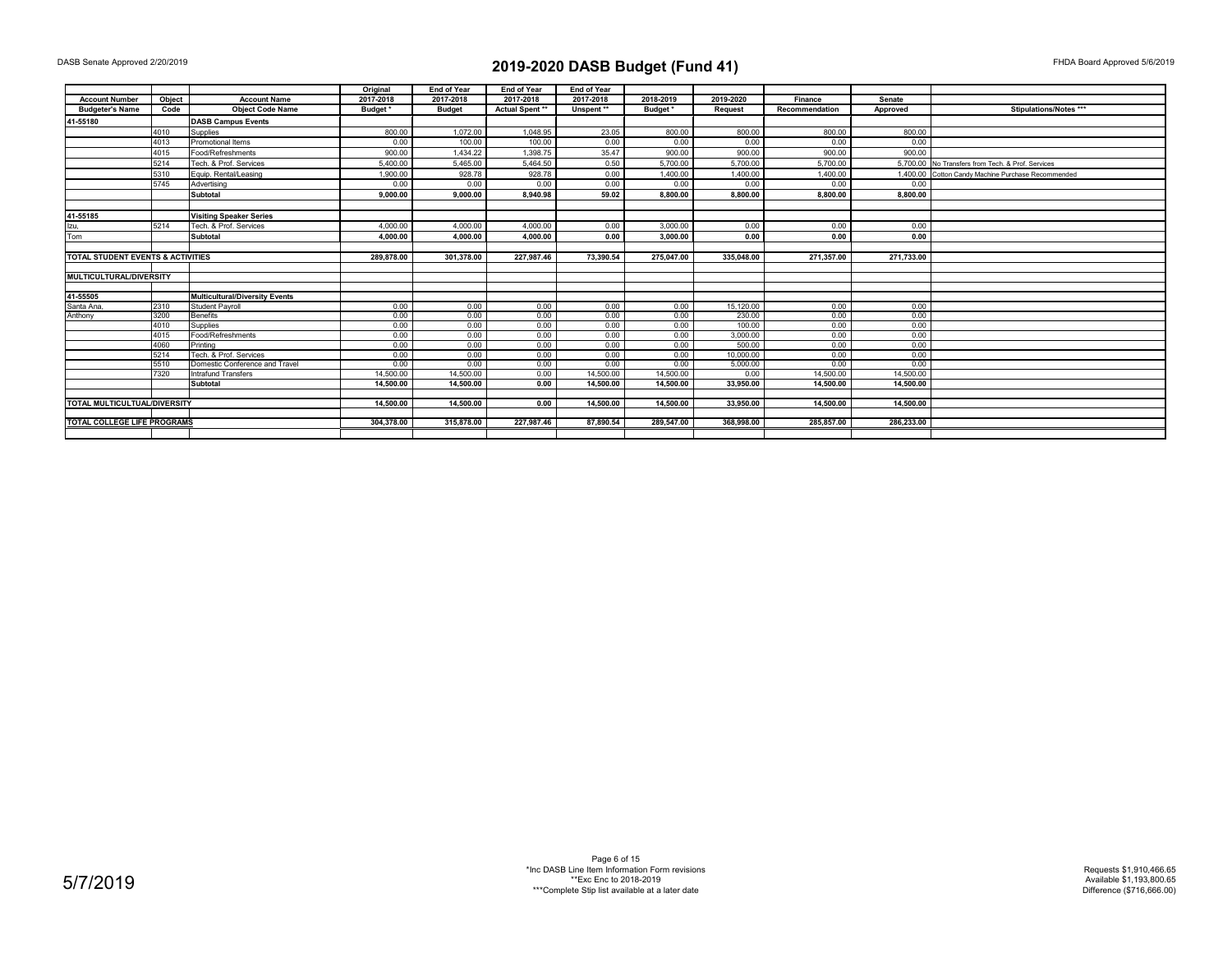|                                   |              |                                       | Original     | <b>End of Year</b> | <b>End of Year</b> | <b>End of Year</b> |              |                     |                |              |                                                    |
|-----------------------------------|--------------|---------------------------------------|--------------|--------------------|--------------------|--------------------|--------------|---------------------|----------------|--------------|----------------------------------------------------|
| <b>Account Number</b>             | Object       | <b>Account Name</b>                   | 2017-2018    | 2017-2018          | 2017-2018          | 2017-2018          | 2018-2019    | 2019-2020           | Finance        | Senate       |                                                    |
| <b>Budgeter's Name</b>            | Code         | <b>Object Code Name</b>               | Budget*      | <b>Budget</b>      | Actual Spent**     | Unspent**          | Budget*      | <b>Request</b>      | Recommendation | Approved     | Stipulations/Notes ***                             |
| 41-55180                          |              | <b>DASB Campus Events</b>             |              |                    |                    |                    |              |                     |                |              |                                                    |
|                                   | 4010         | Supplies                              | 800.00       | 1,072.00           | 1.048.95           | 23.05              | 800.00       | 800.00              | 800.00         | 800.00       |                                                    |
|                                   | 4013         | Promotional Items                     | 0.00         | 100.00             | 100.00             | 0.00               | 0.00         | 0.00                | 0.00           | 0.00         |                                                    |
|                                   | 4015         | Food/Refreshments                     | 900.00       | 1.434.22           | 1.398.75           | 35.47              | 900.00       | 900.00              | 900.00         | 900.00       |                                                    |
|                                   | 5214         | Tech, & Prof. Services                | 5.400.00     | 5.465.00           | 5.464.50           | 0.50               | 5,700.00     | 5,700.00            | 5,700.00       |              | 5.700.00 No Transfers from Tech. & Prof. Services  |
|                                   | 5310         | Equip, Rental/Leasing                 | 1.900.00     | 928.78             | 928.78             | 0.00               | 1.400.00     | 1,400.00            | 1.400.00       |              | 1.400.00 Cotton Candy Machine Purchase Recommended |
|                                   | 5745         | Advertising                           | 0.00         | 0.00               | 0.00               | 0.00               | 0.00         | 0.00                | 0.00           | 0.00         |                                                    |
|                                   |              | Subtotal                              | 9.000.00     | 9.000.00           | 8.940.98           | 59.02              | 8.800.00     | 8,800.00            | 8,800.00       | 8,800.00     |                                                    |
|                                   |              |                                       |              |                    |                    |                    |              |                     |                |              |                                                    |
| 41-55185                          |              | <b>Visiting Speaker Series</b>        |              |                    |                    |                    |              |                     |                |              |                                                    |
| Izu,                              | 5214         | Tech. & Prof. Services                | 4.000.00     | 4.000.00           | 4.000.00           | 0.00               | 3.000.00     | 0.00                | 0.00           | 0.00         |                                                    |
| Tom                               |              | Subtotal                              | 4,000.00     | 4.000.00           | 4,000.00           | 0.00               | 3,000.00     | 0.00                | 0.00           | 0.00         |                                                    |
|                                   |              |                                       |              |                    |                    |                    |              |                     |                |              |                                                    |
| TOTAL STUDENT EVENTS & ACTIVITIES |              |                                       | 289.878.00   | 301.378.00         | 227.987.46         | 73.390.54          | 275.047.00   | 335.048.00          | 271.357.00     | 271.733.00   |                                                    |
|                                   |              |                                       |              |                    |                    |                    |              |                     |                |              |                                                    |
| <b>MULTICULTURAL/DIVERSITY</b>    |              |                                       |              |                    |                    |                    |              |                     |                |              |                                                    |
|                                   |              |                                       |              |                    |                    |                    |              |                     |                |              |                                                    |
| 41-55505                          |              | <b>Multicultural/Diversity Events</b> |              |                    |                    |                    |              |                     |                |              |                                                    |
| Santa Ana                         | 2310         | <b>Student Pavroll</b>                | 0.00         | 0.00               | 0.00               | 0.00               | 0.00         | 15,120.00           | 0.00           | 0.00         |                                                    |
| Anthony                           | 3200         | <b>Benefits</b>                       | 0.00         | 0.00               | 0.00               | 0.00               | 0.00         | 230.00              | 0.00           | 0.00         |                                                    |
|                                   | 4010         | Supplies                              | 0.00         | 0.00               | 0.00               | 0.00               | 0.00         | 100.00              | 0.00           | 0.00         |                                                    |
|                                   | 4015<br>4060 | Food/Refreshments<br>Printina         | 0.00<br>0.00 | 0.00<br>0.00       | 0.00               | 0.00<br>0.00       | 0.00<br>0.00 | 3,000.00            | 0.00<br>0.00   | 0.00<br>0.00 |                                                    |
|                                   | 5214         | Tech. & Prof. Services                | 0.00         | 0.00               | 0.00<br>0.00       | 0.00               | 0.00         | 500.00<br>10.000.00 | 0.00           | 0.00         |                                                    |
|                                   | 5510         | Domestic Conference and Travel        | 0.00         | 0.00               | 0.00               | 0.00               | 0.00         | 5,000.00            | 0.00           | 0.00         |                                                    |
|                                   | 7320         | Intrafund Transfers                   | 14,500.00    | 14,500.00          | 0.00               | 14.500.00          | 14.500.00    | 0.00                | 14.500.00      | 14.500.00    |                                                    |
|                                   |              | Subtotal                              | 14.500.00    | 14.500.00          | 0.00               | 14.500.00          | 14.500.00    | 33.950.00           | 14.500.00      | 14.500.00    |                                                    |
|                                   |              |                                       |              |                    |                    |                    |              |                     |                |              |                                                    |
| TOTAL MULTICULTUAL/DIVERSITY      |              |                                       | 14.500.00    | 14.500.00          | 0.00               | 14.500.00          | 14.500.00    | 33.950.00           | 14.500.00      | 14.500.00    |                                                    |
|                                   |              |                                       |              |                    |                    |                    |              |                     |                |              |                                                    |
| TOTAL COLLEGE LIFE PROGRAMS       |              |                                       | 304.378.00   | 315,878.00         | 227.987.46         | 87.890.54          | 289.547.00   | 368.998.00          | 285.857.00     | 286.233.00   |                                                    |
|                                   |              |                                       |              |                    |                    |                    |              |                     |                |              |                                                    |

Page 6 of 15 \*Inc DASB Line Item Information Form revisions \*\*Exc Enc to 2018-2019 \*\*\*Complete Stip list available at a later date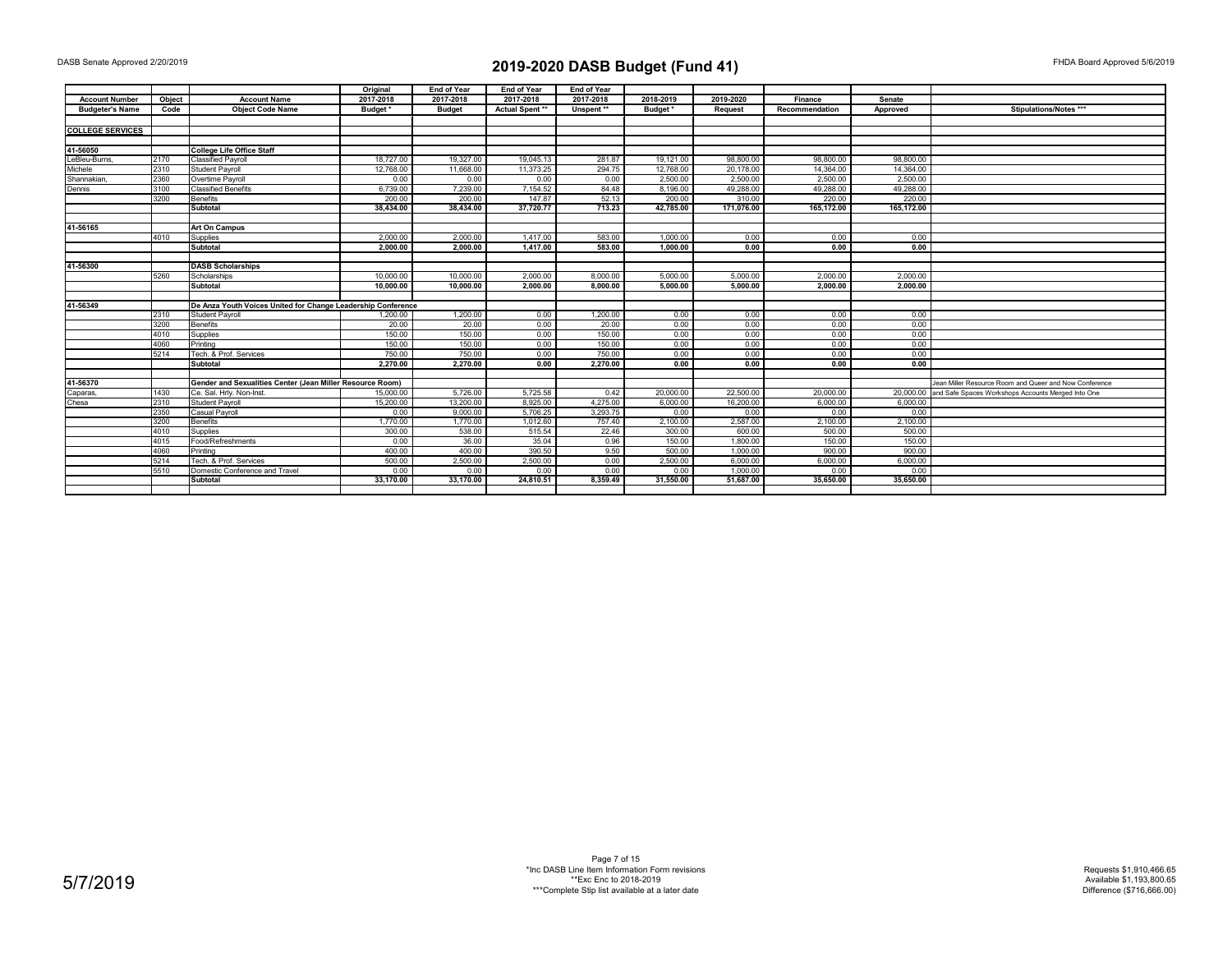|                         |        |                                                              | Original  | <b>End of Year</b> | <b>End of Year</b> | End of Year |           |            |                |            |                                                              |
|-------------------------|--------|--------------------------------------------------------------|-----------|--------------------|--------------------|-------------|-----------|------------|----------------|------------|--------------------------------------------------------------|
| <b>Account Number</b>   | Object | <b>Account Name</b>                                          | 2017-2018 | 2017-2018          | 2017-2018          | 2017-2018   | 2018-2019 | 2019-2020  | Finance        | Senate     |                                                              |
| <b>Budgeter's Name</b>  | Code   | <b>Obiect Code Name</b>                                      | Budget*   | <b>Budget</b>      | Actual Spent**     | Unspent**   | Budget*   | Request    | Recommendation | Approved   | Stipulations/Notes ***                                       |
|                         |        |                                                              |           |                    |                    |             |           |            |                |            |                                                              |
| <b>COLLEGE SERVICES</b> |        |                                                              |           |                    |                    |             |           |            |                |            |                                                              |
|                         |        |                                                              |           |                    |                    |             |           |            |                |            |                                                              |
| 41-56050                |        | <b>College Life Office Staff</b>                             |           |                    |                    |             |           |            |                |            |                                                              |
| LeBleu-Burns            | 2170   | <b>Classified Pavroll</b>                                    | 18,727.00 | 19,327.00          | 19.045.13          | 281.87      | 19,121.00 | 98,800,00  | 98,800.00      | 98,800.00  |                                                              |
| Michele                 | 2310   | Student Pavroll                                              | 12,768.00 | 11.668.00          | 11.373.25          | 294.75      | 12,768.00 | 20.178.00  | 14.364.00      | 14.364.00  |                                                              |
| Shannakian.             | 2360   | Overtime Payroll                                             | 0.00      | 0.00               | 0.00               | 0.00        | 2,500.00  | 2,500.00   | 2.500.00       | 2,500.00   |                                                              |
| Dennis                  | 3100   | <b>Classified Benefits</b>                                   | 6.739.00  | 7,239.00           | 7.154.52           | 84.48       | 8.196.00  | 49,288,00  | 49.288.00      | 49.288.00  |                                                              |
|                         | 3200   | Benefits                                                     | 200.00    | 200.00             | 147.87             | 52.13       | 200.00    | 310.00     | 220.00         | 220.00     |                                                              |
|                         |        | Subtotal                                                     | 38.434.00 | 38.434.00          | 37.720.77          | 713.23      | 42.785.00 | 171.076.00 | 165.172.00     | 165,172.00 |                                                              |
|                         |        |                                                              |           |                    |                    |             |           |            |                |            |                                                              |
| 41-56165                |        | <b>Art On Campus</b>                                         |           |                    |                    |             |           |            |                |            |                                                              |
|                         | 4010   | Supplies                                                     | 2.000.00  | 2.000.00           | 1.417.00           | 583.00      | 1.000.00  | 0.00       | 0.00           | 0.00       |                                                              |
|                         |        | Subtotal                                                     | 2,000.00  | 2.000.00           | 1,417.00           | 583.00      | 1,000.00  | 0.00       | 0.00           | 0.00       |                                                              |
|                         |        |                                                              |           |                    |                    |             |           |            |                |            |                                                              |
| 41-56300                |        | <b>DASB Scholarships</b>                                     |           |                    |                    |             |           |            |                |            |                                                              |
|                         | 5260   | Scholarships                                                 | 10,000.00 | 10,000.00          | 2.000.00           | 8,000.00    | 5.000.00  | 5,000.00   | 2,000.00       | 2,000.00   |                                                              |
|                         |        | Subtotal                                                     | 10.000.00 | 10.000.00          | 2.000.00           | 8,000.00    | 5.000.00  | 5.000.00   | 2.000.00       | 2.000.00   |                                                              |
|                         |        |                                                              |           |                    |                    |             |           |            |                |            |                                                              |
| 41-56349                |        | De Anza Youth Voices United for Change Leadership Conference |           |                    |                    |             |           |            |                |            |                                                              |
|                         | 2310   | Student Payroll                                              | 1,200.00  | 1,200.00           | 0.00               | 1,200.00    | 0.00      | 0.00       | 0.00           | 0.00       |                                                              |
|                         | 3200   | <b>Benefits</b>                                              | 20.00     | 20.00              | 0.00               | 20.00       | 0.00      | 0.00       | 0.00           | 0.00       |                                                              |
|                         | 4010   | Supplies                                                     | 150.00    | 150.00             | 0.00               | 150.00      | 0.00      | 0.00       | 0.00           | 0.00       |                                                              |
|                         | 4060   | Printing                                                     | 150.00    | 150.00             | 0.00               | 150.00      | 0.00      | 0.00       | 0.00           | 0.00       |                                                              |
|                         | 5214   | Tech, & Prof. Services                                       | 750.00    | 750.00             | 0.00               | 750.00      | 0.00      | 0.00       | 0.00           | 0.00       |                                                              |
|                         |        | Subtotal                                                     | 2,270.00  | 2,270.00           | 0.00               | 2.270.00    | 0.00      | 0.00       | 0.00           | 0.00       |                                                              |
|                         |        |                                                              |           |                    |                    |             |           |            |                |            |                                                              |
| 41-56370                |        | Gender and Sexualities Center (Jean Miller Resource Room)    |           |                    |                    |             |           |            |                |            | Jean Miller Resource Room and Queer and Now Conference       |
| Caparas,                | 1430   | Ce. Sal. Hrly. Non-Inst.                                     | 15,000.00 | 5.726.00           | 5.725.58           | 0.42        | 20,000.00 | 22,500.00  | 20,000.00      |            | 20,000.00 and Safe Spaces Workshops Accounts Merged Into One |
| Chesa                   | 2310   | <b>Student Payroll</b>                                       | 15,200.00 | 13,200.00          | 8,925.00           | 4,275.00    | 6,000.00  | 16,200.00  | 6,000.00       | 6,000.00   |                                                              |
|                         | 2350   | Casual Pavroll                                               | 0.00      | 9,000,00           | 5,706.25           | 3.293.75    | 0.00      | 0.00       | 0.00           | 0.00       |                                                              |
|                         | 3200   | Benefits                                                     | 1.770.00  | 1,770.00           | 1,012.60           | 757.40      | 2.100.00  | 2,587.00   | 2,100.00       | 2,100.00   |                                                              |
|                         | 4010   | Supplies                                                     | 300.00    | 538.00             | 515.54             | 22.46       | 300.00    | 600.00     | 500.00         | 500.00     |                                                              |
|                         | 4015   | Food/Refreshments                                            | 0.00      | 36.00              | 35.04              | 0.96        | 150.00    | 1,800.00   | 150.00         | 150.00     |                                                              |
|                         | 4060   | Printing                                                     | 400.00    | 400.00             | 390.50             | 9.50        | 500.00    | 1.000.00   | 900.00         | 900.00     |                                                              |
|                         | 5214   | Tech, & Prof. Services                                       | 500.00    | 2,500.00           | 2.500.00           | 0.00        | 2,500.00  | 6.000.00   | 6,000,00       | 6,000.00   |                                                              |
|                         | 5510   | Domestic Conference and Travel                               | 0.00      | 0.00               | 0.00               | 0.00        | 0.00      | 1.000.00   | 0.00           | 0.00       |                                                              |
|                         |        | Subtotal                                                     | 33.170.00 | 33.170.00          | 24.810.51          | 8.359.49    | 31.550.00 | 51.687.00  | 35.650.00      | 35.650.00  |                                                              |
|                         |        |                                                              |           |                    |                    |             |           |            |                |            |                                                              |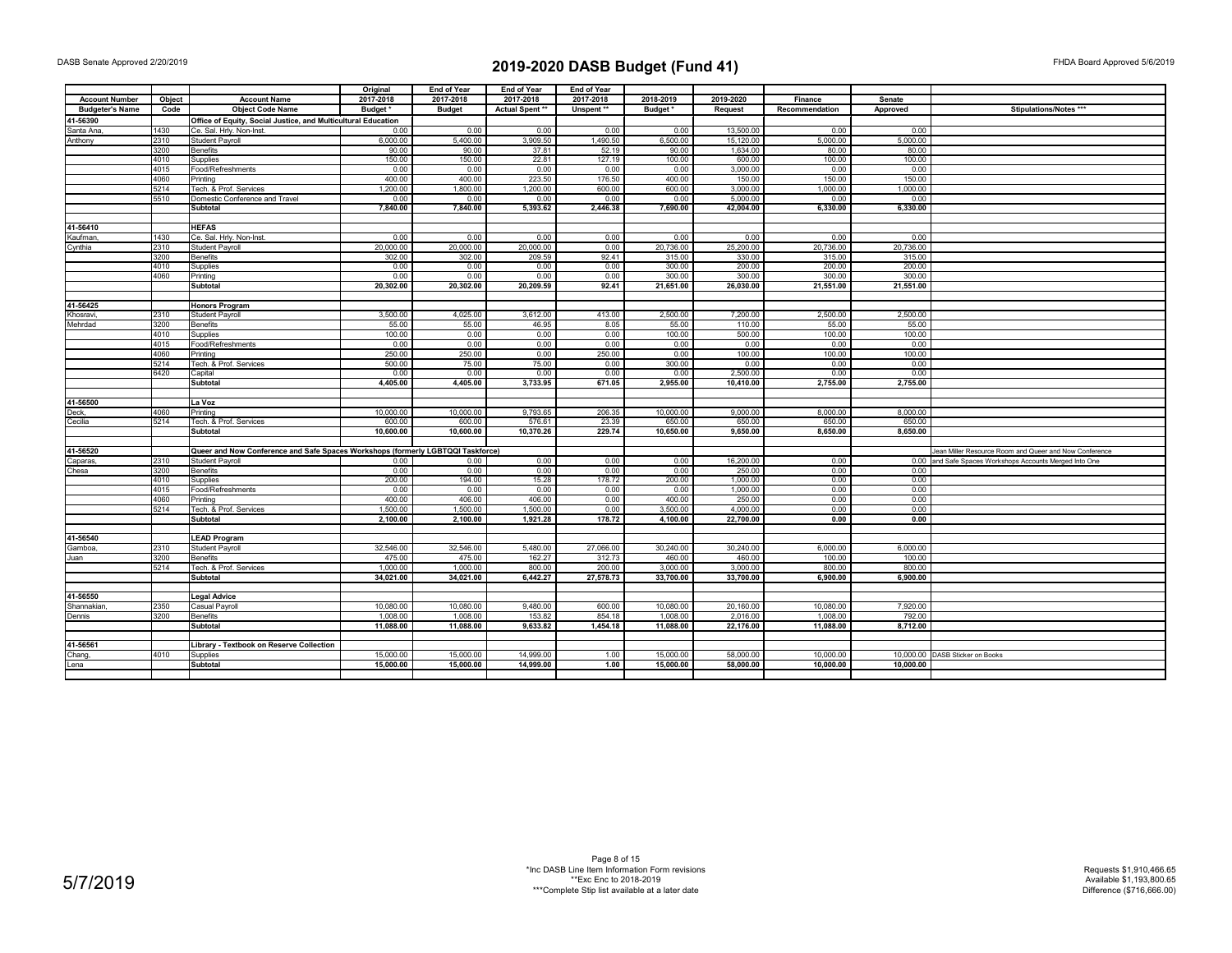|                        |        |                                                                                 | Original  | End of Year   | End of Year     | End of Year |           |           |                |           |                                                         |
|------------------------|--------|---------------------------------------------------------------------------------|-----------|---------------|-----------------|-------------|-----------|-----------|----------------|-----------|---------------------------------------------------------|
| <b>Account Number</b>  | Object | <b>Account Name</b>                                                             | 2017-2018 | 2017-2018     | 2017-2018       | 2017-2018   | 2018-2019 | 2019-2020 | Finance        | Senate    |                                                         |
| <b>Budgeter's Name</b> | Code   | <b>Object Code Name</b>                                                         | Budget *  | <b>Budget</b> | Actual Spent ** | Unspent **  | Budget*   | Request   | Recommendation | Approved  | Stipulations/Notes ***                                  |
| 41-56390               |        | Office of Equity, Social Justice, and Multicultural Education                   |           |               |                 |             |           |           |                |           |                                                         |
| Santa Ana              | 1430   | Ce. Sal. Hrly. Non-Inst.                                                        | 0.00      | 0.00          | 0.00            | 0.00        | 0.00      | 13,500.00 | 0.00           | 0.00      |                                                         |
| Anthony                | 2310   | Student Payroll                                                                 | 6,000.00  | 5,400.00      | 3,909.50        | 1,490.50    | 6,500.00  | 15,120.00 | 5,000.00       | 5,000.00  |                                                         |
|                        | 3200   | <b>Benefits</b>                                                                 | 90.00     | 90.00         | 37.81           | 52.19       | 90.00     | 1,634.00  | 80.00          | 80.00     |                                                         |
|                        | 4010   | Supplies                                                                        | 150.00    | 150.00        | 22.81           | 127.19      | 100.00    | 600.00    | 100.00         | 100.00    |                                                         |
|                        | 4015   | Food/Refreshments                                                               | 0.00      | 0.00          | 0.00            | 0.00        | 0.00      | 3,000.00  | 0.00           | 0.00      |                                                         |
|                        | 4060   | Printina                                                                        | 400.00    | 400.00        | 223.50          | 176.50      | 400.00    | 150.00    | 150.00         | 150.00    |                                                         |
|                        | 5214   | Tech. & Prof. Services                                                          | 1.200.00  | 1.800.00      | 1,200.00        | 600.00      | 600.00    | 3.000.00  | 1.000.00       | 1.000.00  |                                                         |
|                        | 5510   | Domestic Conference and Travel                                                  | 0.00      | 0.00          | 0.00            | 0.00        | 0.00      | 5,000.00  | 0.00           | 0.00      |                                                         |
|                        |        | <b>Subtotal</b>                                                                 | 7,840.00  | 7,840.00      | 5,393.62        | 2,446.38    | 7,690.00  | 42,004.00 | 6,330.00       | 6,330.00  |                                                         |
|                        |        |                                                                                 |           |               |                 |             |           |           |                |           |                                                         |
|                        |        | <b>HEFAS</b>                                                                    |           |               |                 |             |           |           |                |           |                                                         |
| 41-56410               |        |                                                                                 |           |               |                 |             |           |           |                |           |                                                         |
| Kaufman                | 1430   | Ce. Sal. Hrly. Non-Inst                                                         | 0.00      | 0.00          | 0.00            | 0.00        | 0.00      | 0.00      | 0.00           | 0.00      |                                                         |
| Cynthia                | 2310   | <b>Student Payroll</b>                                                          | 20,000.00 | 20,000.00     | 20,000.00       | 0.00        | 20,736.00 | 25,200.00 | 20,736.00      | 20,736.00 |                                                         |
|                        | 3200   | <b>Benefits</b>                                                                 | 302.00    | 302.00        | 209.59          | 92.41       | 315.00    | 330.00    | 315.00         | 315.00    |                                                         |
|                        | 4010   | Supplies                                                                        | 0.00      | 0.00          | 0.00            | 0.00        | 300.00    | 200.00    | 200.00         | 200.00    |                                                         |
|                        | 4060   | Printing                                                                        | 0.00      | 0.00          | 0.00            | 0.00        | 300.00    | 300.00    | 300.00         | 300.00    |                                                         |
|                        |        | <b>Subtotal</b>                                                                 | 20,302.00 | 20,302.00     | 20,209.59       | 92.41       | 21,651.00 | 26,030.00 | 21,551.00      | 21,551.00 |                                                         |
|                        |        |                                                                                 |           |               |                 |             |           |           |                |           |                                                         |
| 41-56425               |        | <b>Honors Program</b>                                                           |           |               |                 |             |           |           |                |           |                                                         |
| Khosravi.              | 2310   | <b>Student Pavroll</b>                                                          | 3.500.00  | 4.025.00      | 3.612.00        | 413.00      | 2.500.00  | 7,200.00  | 2.500.00       | 2.500.00  |                                                         |
| Mehrdad                | 3200   | <b>Benefits</b>                                                                 | 55.00     | 55.00         | 46.95           | 8.05        | 55.00     | 110.00    | 55.00          | 55.00     |                                                         |
|                        | 4010   | Supplies                                                                        | 100.00    | 0.00          | 0.00            | 0.00        | 100.00    | 500.00    | 100.00         | 100.00    |                                                         |
|                        | 4015   | Food/Refreshments                                                               | 0.00      | 0.00          | 0.00            | 0.00        | 0.00      | 0.00      | 0.00           | 0.00      |                                                         |
|                        | 4060   | Printina                                                                        | 250.00    | 250.00        | 0.00            | 250.00      | 0.00      | 100.00    | 100.00         | 100.00    |                                                         |
|                        | 5214   | Tech. & Prof. Services                                                          | 500.00    | 75.00         | 75.00           | 0.00        | 300.00    | 0.00      | 0.00           | 0.00      |                                                         |
|                        | 6420   | Capital                                                                         | 0.00      | 0.00          | 0.00            | 0.00        | 0.00      | 2,500.00  | 0.00           | 0.00      |                                                         |
|                        |        | Subtotal                                                                        | 4.405.00  | 4.405.00      | 3,733.95        | 671.05      | 2.955.00  | 10,410.00 | 2,755.00       | 2,755.00  |                                                         |
|                        |        |                                                                                 |           |               |                 |             |           |           |                |           |                                                         |
| 41-56500               |        | La Voz                                                                          |           |               |                 |             |           |           |                |           |                                                         |
| Deck.                  | 4060   | Printina                                                                        | 10,000.00 | 10,000.00     | 9.793.65        | 206.35      | 10,000.00 | 9,000,00  | 8,000.00       | 8,000.00  |                                                         |
| Cecilia                | 5214   | Tech. & Prof. Services                                                          | 600.00    | 600.00        | 576.61          | 23.39       | 650.00    | 650.00    | 650.00         | 650.00    |                                                         |
|                        |        | Subtotal                                                                        | 10,600.00 | 10,600.00     | 10,370.26       | 229.74      | 10,650.00 | 9,650.00  | 8,650.00       | 8,650.00  |                                                         |
|                        |        |                                                                                 |           |               |                 |             |           |           |                |           |                                                         |
| 41-56520               |        | Queer and Now Conference and Safe Spaces Workshops (formerly LGBTQQI Taskforce) |           |               |                 |             |           |           |                |           | Jean Miller Resource Room and Queer and Now Conference  |
| Caparas,               | 2310   | <b>Student Payroll</b>                                                          | 0.00      | 0.00          | 0.00            | 0.00        | 0.00      | 16,200.00 | 0.00           |           | 0.00 and Safe Spaces Workshops Accounts Merged Into One |
| Chesa                  | 3200   | <b>Benefits</b>                                                                 | 0.00      | 0.00          | 0.00            | 0.00        | 0.00      | 250.00    | 0.00           | 0.00      |                                                         |
|                        | 4010   | Supplies                                                                        | 200.00    | 194.00        | 15.28           | 178.72      | 200.00    | 1,000.00  | 0.00           | 0.00      |                                                         |
|                        | 4015   | Food/Refreshments                                                               | 0.00      | 0.00          | 0.00            | 0.00        | 0.00      | 1,000.00  | 0.00           | 0.00      |                                                         |
|                        | 4060   | Printing                                                                        | 400.00    | 406.00        | 406.00          | 0.00        | 400.00    | 250.00    | 0.00           | 0.00      |                                                         |
|                        | 5214   | Tech. & Prof. Services                                                          | 1,500.00  | 1,500.00      | 1,500.00        | 0.00        | 3,500.00  | 4,000.00  | 0.00           | 0.00      |                                                         |
|                        |        | <b>Subtotal</b>                                                                 | 2,100.00  | 2,100.00      | 1,921.28        | 178.72      | 4,100.00  | 22,700.00 | 0.00           | 0.00      |                                                         |
|                        |        |                                                                                 |           |               |                 |             |           |           |                |           |                                                         |
| 41-56540               |        | <b>LEAD Program</b>                                                             |           |               |                 |             |           |           |                |           |                                                         |
| Gamboa,                | 2310   | <b>Student Payroll</b>                                                          | 32,546.00 | 32,546.00     | 5,480.00        | 27,066.00   | 30,240.00 | 30,240.00 | 6,000.00       | 6,000.00  |                                                         |
| Juan                   | 3200   | Benefits                                                                        | 475.00    | 475.00        | 162.27          | 312.73      | 460.00    | 460.00    | 100.00         | 100.00    |                                                         |
|                        | 5214   | Tech, & Prof, Services                                                          | 1.000.00  | 1.000.00      | 800.00          | 200.00      | 3.000.00  | 3.000.00  | 800.00         | 800.00    |                                                         |
|                        |        | <b>Subtotal</b>                                                                 | 34,021.00 | 34,021.00     | 6,442.27        | 27,578.73   | 33,700.00 | 33,700.00 | 6,900.00       | 6,900.00  |                                                         |
|                        |        |                                                                                 |           |               |                 |             |           |           |                |           |                                                         |
| 41-56550               |        | <b>Legal Advice</b>                                                             |           |               |                 |             |           |           |                |           |                                                         |
| Shannakian.            | 2350   | Casual Payroll                                                                  | 10.080.00 | 10,080.00     | 9,480.00        | 600.00      | 10.080.00 | 20.160.00 | 10.080.00      | 7.920.00  |                                                         |
| Dennis                 | 3200   | <b>Benefits</b>                                                                 | 1,008.00  | 1,008.00      | 153.82          | 854.18      | 1,008.00  | 2,016.00  | 1,008.00       | 792.00    |                                                         |
|                        |        | Subtotal                                                                        | 11,088.00 | 11,088.00     | 9,633.82        | 1,454.18    | 11,088.00 | 22,176.00 | 11,088.00      | 8,712.00  |                                                         |
|                        |        |                                                                                 |           |               |                 |             |           |           |                |           |                                                         |
|                        |        |                                                                                 |           |               |                 |             |           |           |                |           |                                                         |
| 41-56561               |        | Library - Textbook on Reserve Collection                                        |           |               |                 |             |           |           |                |           |                                                         |
| Chang,                 | 4010   | Supplies                                                                        | 15,000.00 | 15,000.00     | 14.999.00       | 1.00        | 15,000.00 | 58,000.00 | 10.000.00      |           | 10.000.00 DASB Sticker on Books                         |
| ena                    |        | Subtotal                                                                        | 15.000.00 | 15.000.00     | 14.999.00       | 1.00        | 15.000.00 | 58.000.00 | 10.000.00      | 10.000.00 |                                                         |
|                        |        |                                                                                 |           |               |                 |             |           |           |                |           |                                                         |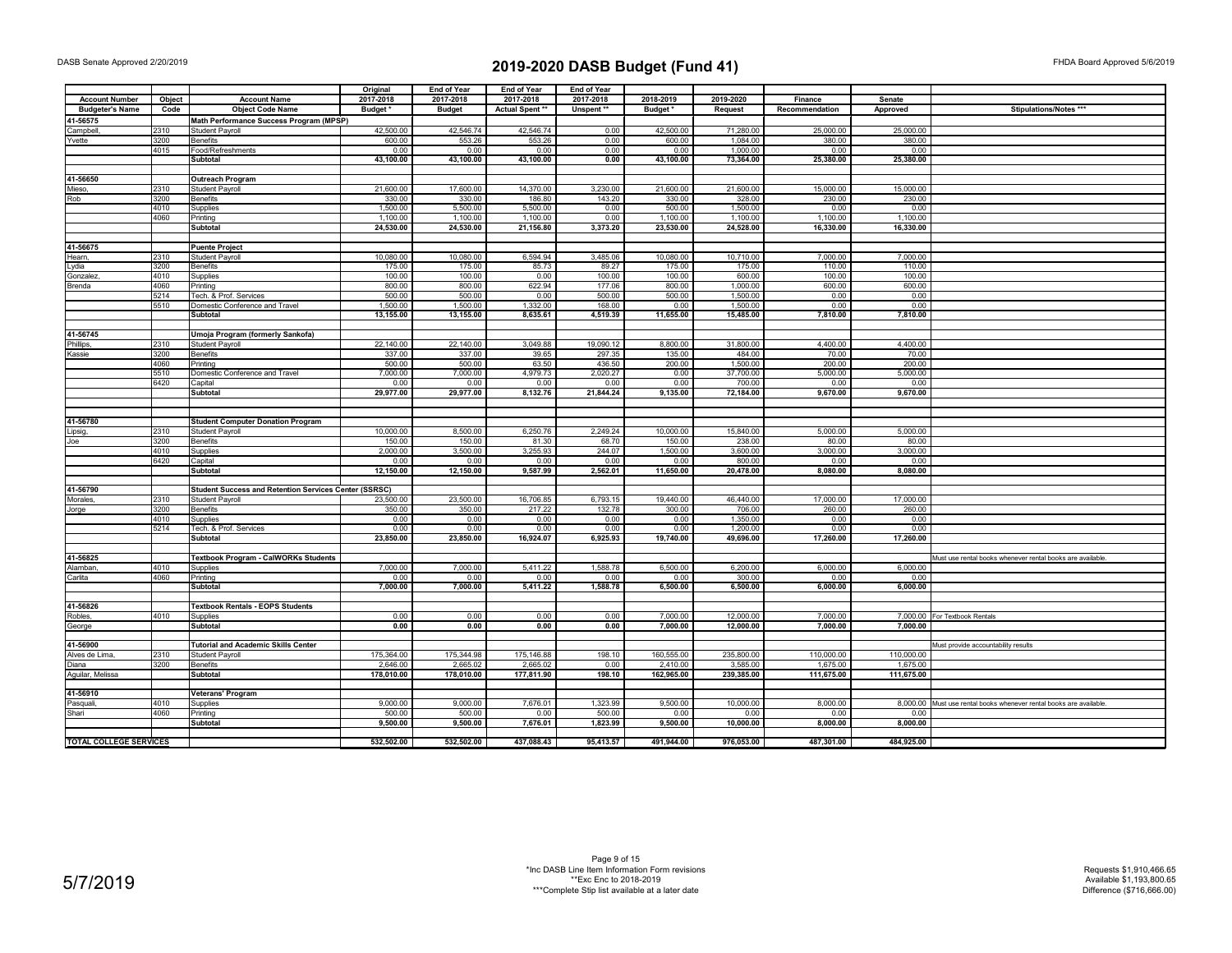|                               |              |                                                                    | Original            | <b>End of Year</b> | <b>End of Year</b> | End of Year      |                  |                      |                |              |                                                                     |
|-------------------------------|--------------|--------------------------------------------------------------------|---------------------|--------------------|--------------------|------------------|------------------|----------------------|----------------|--------------|---------------------------------------------------------------------|
| <b>Account Number</b>         | Object       | <b>Account Name</b>                                                | 2017-2018           | 2017-2018          | 2017-2018          | 2017-2018        | 2018-2019        | 2019-2020            | Finance        | Senate       |                                                                     |
| <b>Budgeter's Name</b>        | Code         | <b>Object Code Name</b>                                            | Budget <sup>*</sup> | <b>Budget</b>      | Actual Spent **    | Unspent **       | Budget*          | Request              | Recommendation | Approved     | Stipulations/Notes ***                                              |
| 41-56575                      |              | Math Performance Success Program (MPSP)                            |                     |                    |                    |                  |                  |                      |                |              |                                                                     |
| Campbell,                     | 2310         | Student Payroll                                                    | 42,500.00           | 42,546.74          | 42,546.74          | 0.00             | 42,500.00        | 71,280.00            | 25,000.00      | 25,000.00    |                                                                     |
| Yvette                        | 3200         | <b>Benefits</b>                                                    | 600.00              | 553.26             | 553.26             | 0.00             | 600.00           | 1,084.00             | 380.00         | 380.00       |                                                                     |
|                               | 4015         | Food/Refreshments                                                  | 0.00                | 0.00               | 0.00               | 0.00             | 0.00             | 1.000.00             | 0.00           | 0.00         |                                                                     |
|                               |              | Subtotal                                                           | 43,100.00           | 43,100.00          | 43,100.00          | 0.00             | 43,100.00        | 73,364.00            | 25,380.00      | 25,380.00    |                                                                     |
| 41-56650                      |              | <b>Outreach Program</b>                                            |                     |                    |                    |                  |                  |                      |                |              |                                                                     |
| Mieso,                        | 2310         | <b>Student Payroll</b>                                             | 21,600.00           | 17,600.00          | 14,370.00          | 3,230.00         | 21,600.00        | 21,600.00            | 15,000.00      | 15,000.00    |                                                                     |
| Rob                           | 3200         | <b>Benefits</b>                                                    | 330.00              | 330.00             | 186.80             | 143.20           | 330.00           | 328.00               | 230.00         | 230.00       |                                                                     |
|                               | 4010         | Supplies                                                           | 1,500.00            | 5,500.00           | 5,500.00           | 0.00             | 500.00           | 1,500.00             | 0.00           | 0.00         |                                                                     |
|                               | 4060         | Printing                                                           | 1,100.00            | 1,100.00           | 1,100.00           | 0.00             | 1,100.00         | 1,100.00             | 1,100.00       | 1,100.00     |                                                                     |
|                               |              | Subtotal                                                           | 24,530.00           | 24,530.00          | 21,156.80          | 3,373.20         | 23,530.00        | 24,528.00            | 16,330.00      | 16,330.00    |                                                                     |
|                               |              |                                                                    |                     |                    |                    |                  |                  |                      |                |              |                                                                     |
| 41-56675                      |              | <b>Puente Project</b>                                              |                     |                    |                    |                  |                  |                      |                |              |                                                                     |
| Hearn,                        | 2310         | Student Payroll                                                    | 10,080.00           | 10,080.00          | 6,594.94           | 3,485.06         | 10,080.00        | 10,710.00            | 7,000.00       | 7,000.00     |                                                                     |
| .ydia                         | 3200         | <b>Benefits</b>                                                    | 175.00              | 175.00             | 85.73              | 89.27            | 175.00           | 175.00               | 110.00         | 110.00       |                                                                     |
| Gonzalez                      | 4010         | Supplies                                                           | 100.00              | 100.00             | 0.00               | 100.00           | 100.00           | 600.00               | 100.00         | 100.00       |                                                                     |
| Brenda                        | 4060<br>5214 | Printing                                                           | 800.00<br>500.00    | 800.00<br>500.00   | 622.94<br>0.00     | 177.06<br>500.00 | 800.00<br>500.00 | 1,000.00<br>1.500.00 | 600.00         | 600.00       |                                                                     |
|                               | 5510         | Tech, & Prof, Services<br>Domestic Conference and Travel           | 1,500.00            | 1,500.00           | 1,332.00           | 168.00           | 0.00             | 1.500.00             | 0.00<br>0.00   | 0.00<br>0.00 |                                                                     |
|                               |              | <b>Subtotal</b>                                                    | 13,155.00           | 13,155.00          | 8,635.61           | 4,519.39         | 11,655.00        | 15,485.00            | 7,810.00       | 7,810.00     |                                                                     |
|                               |              |                                                                    |                     |                    |                    |                  |                  |                      |                |              |                                                                     |
| 41-56745                      |              | Umoja Program (formerly Sankofa)                                   |                     |                    |                    |                  |                  |                      |                |              |                                                                     |
| Phillips,                     | 2310         | Student Payroll                                                    | 22,140.00           | 22,140.00          | 3,049.88           | 19,090.12        | 8,800.00         | 31,800.00            | 4,400.00       | 4,400.00     |                                                                     |
| Kassie                        | 3200         | <b>Benefits</b>                                                    | 337.00              | 337.00             | 39.65              | 297.35           | 135.00           | 484.00               | 70.00          | 70.00        |                                                                     |
|                               | 4060         | Printing                                                           | 500.00              | 500.00             | 63.50              | 436.50           | 200.00           | 1,500.00             | 200.00         | 200.00       |                                                                     |
|                               | 5510         | Domestic Conference and Travel                                     | 7.000.00            | 7.000.00           | 4.979.73           | 2.020.27         | 0.00             | 37.700.00            | 5.000.00       | 5.000.00     |                                                                     |
|                               | 6420         | Capital                                                            | 0.00                | 0.00               | 0.00               | 0.00             | 0.00             | 700.00               | 0.00           | 0.00         |                                                                     |
|                               |              | <b>Subtotal</b>                                                    | 29,977.00           | 29,977.00          | 8,132.76           | 21,844.24        | 9,135.00         | 72,184.00            | 9,670.00       | 9,670.00     |                                                                     |
|                               |              |                                                                    |                     |                    |                    |                  |                  |                      |                |              |                                                                     |
| 41-56780                      |              |                                                                    |                     |                    |                    |                  |                  |                      |                |              |                                                                     |
|                               | 2310         | <b>Student Computer Donation Program</b><br><b>Student Payroll</b> | 10,000.00           | 8,500.00           | 6,250.76           | 2,249.24         | 10,000.00        | 15,840.00            | 5,000.00       | 5,000.00     |                                                                     |
| ipsig.<br>Joe                 | 3200         | <b>Benefits</b>                                                    | 150.00              | 150.00             | 81.30              | 68.70            | 150.00           | 238.00               | 80.00          | 80.00        |                                                                     |
|                               | 4010         | Supplies                                                           | 2,000.00            | 3,500.00           | 3,255.93           | 244.07           | 1,500.00         | 3,600.00             | 3,000.00       | 3,000.00     |                                                                     |
|                               | 6420         | Capital                                                            | 0.00                | 0.00               | 0.00               | 0.00             | 0.00             | 800.00               | 0.00           | 0.00         |                                                                     |
|                               |              | <b>Subtotal</b>                                                    | 12,150.00           | 12,150.00          | 9,587.99           | 2,562.01         | 11,650.00        | 20,478.00            | 8,080.00       | 8,080.00     |                                                                     |
|                               |              |                                                                    |                     |                    |                    |                  |                  |                      |                |              |                                                                     |
| 41-56790                      |              | <b>Student Success and Retention Services Center (SSRSC)</b>       |                     |                    |                    |                  |                  |                      |                |              |                                                                     |
| Morales.                      | 2310         | Student Pavroll                                                    | 23,500.00           | 23,500.00          | 16,706.85          | 6.793.15         | 19,440.00        | 46,440.00            | 17,000.00      | 17,000.00    |                                                                     |
| Jorge                         | 3200         | <b>Benefits</b>                                                    | 350.00              | 350.00             | 217.22             | 132.78           | 300.00           | 706.00               | 260.00         | 260.00       |                                                                     |
|                               | 4010         | Supplies                                                           | 0.00                | 0.00               | 0.00               | 0.00             | 0.00             | 1,350.00             | 0.00           | 0.00         |                                                                     |
|                               | 5214         | Tech. & Prof. Services                                             | 0.00                | 0.00               | 0.00               | 0.00             | 0.00             | 1,200.00             | 0.00           | 0.00         |                                                                     |
|                               |              | Subtotal                                                           | 23,850.00           | 23,850.00          | 16,924.07          | 6,925.93         | 19,740.00        | 49,696.00            | 17,260.00      | 17,260.00    |                                                                     |
| 41-56825                      |              | Textbook Program - CalWORKs Students                               |                     |                    |                    |                  |                  |                      |                |              | Must use rental books whenever rental books are available.          |
| Alamban,                      | 4010         | Supplies                                                           | 7,000.00            | 7,000.00           | 5,411.22           | 1,588.78         | 6,500.00         | 6,200.00             | 6,000.00       | 6,000.00     |                                                                     |
| Carlita                       | 4060         | Printing                                                           | 0.00                | 0.00               | 0.00               | 0.00             | 0.00             | 300.00               | 0.00           | 0.00         |                                                                     |
|                               |              | Subtotal                                                           | 7,000.00            | 7,000.00           | 5,411.22           | 1,588.78         | 6,500.00         | 6,500.00             | 6,000.00       | 6,000.00     |                                                                     |
|                               |              |                                                                    |                     |                    |                    |                  |                  |                      |                |              |                                                                     |
| 41-56826                      |              | <b>Textbook Rentals - EOPS Students</b>                            |                     |                    |                    |                  |                  |                      |                |              |                                                                     |
| Robles,                       | 4010         | Supplies                                                           | 0.00                | 0.00               | 0.00               | 0.00             | 7,000.00         | 12,000.00            | 7.000.00       |              | 7,000.00 For Textbook Rentals                                       |
| George                        |              | <b>Subtotal</b>                                                    | 0.00                | 0.00               | 0.00               | 0.00             | 7,000.00         | 12,000.00            | 7,000.00       | 7,000.00     |                                                                     |
|                               |              |                                                                    |                     |                    |                    |                  |                  |                      |                |              |                                                                     |
| 41-56900                      |              | <b>Tutorial and Academic Skills Center</b>                         |                     |                    |                    |                  |                  |                      |                |              | Must provide accountability results                                 |
| Alves de Lima.                | 2310         | <b>Student Pavroll</b>                                             | 175,364.00          | 175,344.98         | 175,146.88         | 198.10           | 160,555.00       | 235,800.00           | 110.000.00     | 110,000.00   |                                                                     |
| Diana                         | 3200         | <b>Benefits</b>                                                    | 2,646.00            | 2,665.02           | 2,665.02           | 0.00             | 2,410.00         | 3,585.00             | 1,675.00       | 1,675.00     |                                                                     |
| Aguilar, Melissa              |              | <b>Subtotal</b>                                                    | 178,010.00          | 178,010.00         | 177,811.90         | 198.10           | 162.965.00       | 239,385.00           | 111,675.00     | 111,675.00   |                                                                     |
| 41-56910                      |              | Veterans' Program                                                  |                     |                    |                    |                  |                  |                      |                |              |                                                                     |
| Pasquali.                     | 4010         | Supplies                                                           | 9.000.00            | 9,000,00           | 7.676.01           | 1.323.99         | 9.500.00         | 10.000.00            | 8.000.00       |              | 8.000.00 Must use rental books whenever rental books are available. |
| Shari                         | 4060         | Printing                                                           | 500.00              | 500.00             | 0.00               | 500.00           | 0.00             | 0.00                 | 0.00           | 0.00         |                                                                     |
|                               |              | Subtotal                                                           | 9.500.00            | 9.500.00           | 7.676.01           | 1.823.99         | 9.500.00         | 10.000.00            | 8.000.00       | 8.000.00     |                                                                     |
|                               |              |                                                                    |                     |                    |                    |                  |                  |                      |                |              |                                                                     |
| <b>TOTAL COLLEGE SERVICES</b> |              |                                                                    | 532,502.00          | 532,502.00         | 437,088.43         | 95,413.57        | 491,944.00       | 976,053.00           | 487,301.00     | 484,925.00   |                                                                     |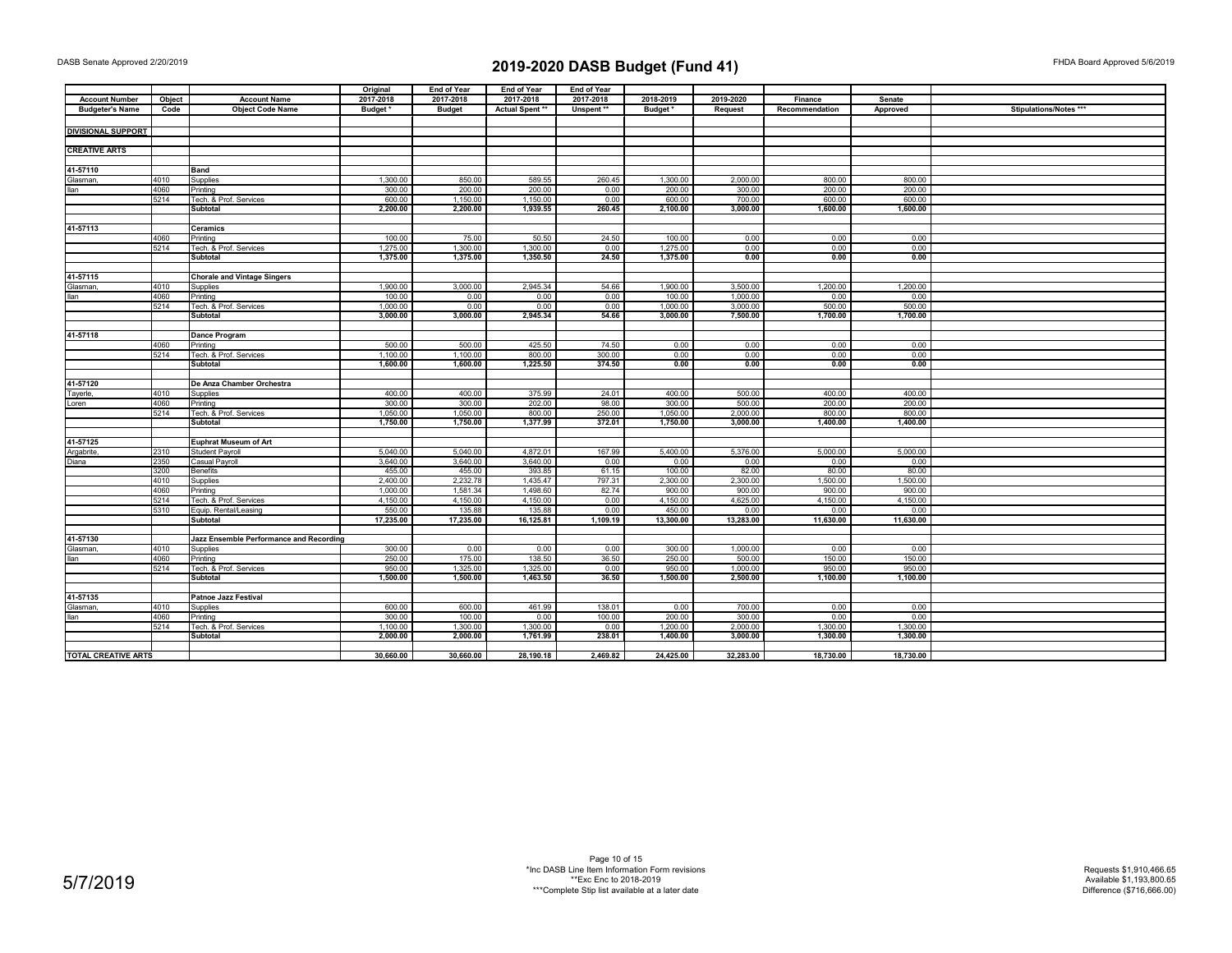|                            |              |                                         | Original  | <b>End of Year</b> | <b>End of Year</b> | <b>End of Year</b> |                |           |                |           |                        |
|----------------------------|--------------|-----------------------------------------|-----------|--------------------|--------------------|--------------------|----------------|-----------|----------------|-----------|------------------------|
| <b>Account Number</b>      | Object       | <b>Account Name</b>                     | 2017-2018 | 2017-2018          | 2017-2018          | 2017-2018          | 2018-2019      | 2019-2020 | Finance        | Senate    |                        |
| <b>Budgeter's Name</b>     | Code         | <b>Object Code Name</b>                 | Budget*   | <b>Budget</b>      | Actual Spent **    | Unspent **         | <b>Budget*</b> | Request   | Recommendation | Approved  | Stipulations/Notes *** |
|                            |              |                                         |           |                    |                    |                    |                |           |                |           |                        |
| <b>DIVISIONAL SUPPORT</b>  |              |                                         |           |                    |                    |                    |                |           |                |           |                        |
|                            |              |                                         |           |                    |                    |                    |                |           |                |           |                        |
| <b>CREATIVE ARTS</b>       |              |                                         |           |                    |                    |                    |                |           |                |           |                        |
|                            |              |                                         |           |                    |                    |                    |                |           |                |           |                        |
| 41-57110                   |              |                                         |           |                    |                    |                    |                |           |                |           |                        |
|                            |              | Band                                    | 1,300.00  | 850.00             | 589.55             | 260.45             | 1,300.00       | 2,000.00  | 800.00         | 800.00    |                        |
| Glasman,                   | 4010<br>4060 | Supplies                                | 300.00    | 200.00             |                    |                    | 200.00         |           | 200.00         | 200.00    |                        |
| <b>Ilan</b>                |              | Printing                                |           |                    | 200.00             | 0.00               |                | 300.00    |                |           |                        |
|                            | 5214         | Tech. & Prof. Services                  | 600.00    | 1,150.00           | 1,150.00           | 0.00               | 600.00         | 700.00    | 600.00         | 600.00    |                        |
|                            |              | Subtotal                                | 2,200.00  | 2,200.00           | 1,939.55           | 260.45             | 2,100.00       | 3,000.00  | 1,600.00       | 1,600.00  |                        |
|                            |              |                                         |           |                    |                    |                    |                |           |                |           |                        |
| 41-57113                   |              | Ceramics                                |           |                    |                    |                    |                |           |                |           |                        |
|                            | 4060         | Printing                                | 100.00    | 75.00              | 50.50              | 24.50              | 100.00         | 0.00      | 0.00           | 0.00      |                        |
|                            | 5214         | Tech. & Prof. Services                  | 1,275.00  | 1,300.00           | 1,300.00           | 0.00               | 1,275.00       | 0.00      | 0.00           | 0.00      |                        |
|                            |              | <b>Subtotal</b>                         | 1,375.00  | 1,375.00           | 1,350.50           | 24.50              | 1,375.00       | 0.00      | 0.00           | 0.00      |                        |
|                            |              |                                         |           |                    |                    |                    |                |           |                |           |                        |
| 41-57115                   |              | <b>Chorale and Vintage Singers</b>      |           |                    |                    |                    |                |           |                |           |                        |
| Glasman,                   | 4010         | Supplies                                | 1,900.00  | 3,000.00           | 2,945.34           | 54.66              | 1,900.00       | 3,500.00  | 1,200.00       | 1,200.00  |                        |
| llan                       | 4060         | Printing                                | 100.00    | 0.00               | 0.00               | 0.00               | 100.00         | 1,000.00  | 0.00           | 0.00      |                        |
|                            | 5214         | Tech. & Prof. Services                  | 1,000.00  | 0.00               | 0.00               | 0.00               | 1,000.00       | 3,000.00  | 500.00         | 500.00    |                        |
|                            |              | Subtotal                                | 3,000.00  | 3,000.00           | 2,945.34           | 54.66              | 3,000.00       | 7,500.00  | 1,700.00       | 1,700.00  |                        |
|                            |              |                                         |           |                    |                    |                    |                |           |                |           |                        |
| 41-57118                   |              | Dance Program                           |           |                    |                    |                    |                |           |                |           |                        |
|                            | 4060         | Printing                                | 500.00    | 500.00             | 425.50             | 74.50              | 0.00           | 0.00      | 0.00           | 0.00      |                        |
|                            | 5214         | Tech. & Prof. Services                  | 1,100.00  | 1,100.00           | 800.00             | 300.00             | 0.00           | 0.00      | 0.00           | 0.00      |                        |
|                            |              | <b>Subtotal</b>                         | 1,600.00  | 1,600.00           | 1,225.50           | 374.50             | 0.00           | 0.00      | 0.00           | 0.00      |                        |
|                            |              |                                         |           |                    |                    |                    |                |           |                |           |                        |
|                            |              |                                         |           |                    |                    |                    |                |           |                |           |                        |
| 41-57120                   |              | De Anza Chamber Orchestra               |           |                    |                    |                    |                |           |                |           |                        |
| Tayerle,                   | 4010         | Supplies                                | 400.00    | 400.00             | 375.99             | 24.01              | 400.00         | 500.00    | 400.00         | 400.00    |                        |
| Loren                      | 4060         | Printing                                | 300.00    | 300.00             | 202.00             | 98.00              | 300.00         | 500.00    | 200.00         | 200.00    |                        |
|                            | 5214         | Tech. & Prof. Services                  | 1,050.00  | 1,050.00           | 800.00             | 250.00             | 1,050.00       | 2,000.00  | 800.00         | 800.00    |                        |
|                            |              | <b>Subtotal</b>                         | 1,750.00  | 1,750.00           | 1,377.99           | 372.01             | 1,750.00       | 3,000.00  | 1,400.00       | 1,400.00  |                        |
|                            |              |                                         |           |                    |                    |                    |                |           |                |           |                        |
| 41-57125                   |              | <b>Euphrat Museum of Art</b>            |           |                    |                    |                    |                |           |                |           |                        |
| Argabrite,                 | 2310         | Student Payroll                         | 5.040.00  | 5,040.00           | 4,872.01           | 167.99             | 5,400.00       | 5,376.00  | 5,000.00       | 5,000.00  |                        |
| Diana                      | 2350         | Casual Pavroll                          | 3,640.00  | 3,640.00           | 3.640.00           | 0.00               | 0.00           | 0.00      | 0.00           | 0.00      |                        |
|                            | 3200         | <b>Benefits</b>                         | 455.00    | 455.00             | 393.85             | 61.15              | 100.00         | 82.00     | 80.00          | 80.00     |                        |
|                            | 4010         | Supplies                                | 2,400.00  | 2,232.78           | 1,435.47           | 797.31             | 2,300.00       | 2,300.00  | 1,500.00       | 1,500.00  |                        |
|                            | 4060         | Printing                                | 1,000.00  | 1,581.34           | 1,498.60           | 82.74              | 900.00         | 900.00    | 900.00         | 900.00    |                        |
|                            | 5214         | Tech. & Prof. Services                  | 4,150.00  | 4,150.00           | 4,150.00           | 0.00               | 4,150.00       | 4,625.00  | 4,150.00       | 4,150.00  |                        |
|                            | 5310         | Equip. Rental/Leasing                   | 550.00    | 135.88             | 135.88             | 0.00               | 450.00         | 0.00      | 0.00           | 0.00      |                        |
|                            |              | Subtotal                                | 17,235.00 | 17,235.00          | 16,125.81          | 1,109.19           | 13,300.00      | 13,283.00 | 11,630.00      | 11,630.00 |                        |
|                            |              |                                         |           |                    |                    |                    |                |           |                |           |                        |
| 41-57130                   |              | Jazz Ensemble Performance and Recording |           |                    |                    |                    |                |           |                |           |                        |
| Glasman,                   | 4010         | Supplies                                | 300.00    | 0.00               | 0.00               | 0.00               | 300.00         | 1,000.00  | 0.00           | 0.00      |                        |
| llan                       | 4060         | Printing                                | 250.00    | 175.00             | 138.50             | 36.50              | 250.00         | 500.00    | 150.00         | 150.00    |                        |
|                            | 5214         | Tech. & Prof. Services                  | 950.00    | 1,325.00           | 1,325.00           | 0.00               | 950.00         | 1,000.00  | 950.00         | 950.00    |                        |
|                            |              | <b>Subtotal</b>                         | 1,500.00  | 1,500.00           | 1,463.50           | 36.50              | 1,500.00       | 2,500.00  | 1,100.00       | 1,100.00  |                        |
|                            |              |                                         |           |                    |                    |                    |                |           |                |           |                        |
|                            |              |                                         |           |                    |                    |                    |                |           |                |           |                        |
| 41-57135                   |              | Patnoe Jazz Festival                    |           |                    |                    |                    |                |           |                |           |                        |
| Glasman,                   | 4010         | Supplies                                | 600.00    | 600.00             | 461.99             | 138.01             | 0.00           | 700.00    | 0.00           | 0.00      |                        |
| llan                       | 4060         | Printing                                | 300.00    | 100.00             | 0.00               | 100.00             | 200.00         | 300.00    | 0.00           | 0.00      |                        |
|                            | 5214         | Tech. & Prof. Services                  | 1,100.00  | 1,300.00           | 1,300.00           | 0.00               | 1,200.00       | 2,000.00  | 1,300.00       | 1,300.00  |                        |
|                            |              | Subtotal                                | 2,000.00  | 2,000.00           | 1,761.99           | 238.01             | 1,400.00       | 3,000.00  | 1,300.00       | 1,300.00  |                        |
|                            |              |                                         |           |                    |                    |                    |                |           |                |           |                        |
| <b>TOTAL CREATIVE ARTS</b> |              |                                         | 30,660.00 | 30,660.00          | 28,190.18          | 2,469.82           | 24,425.00      | 32,283.00 | 18,730.00      | 18,730.00 |                        |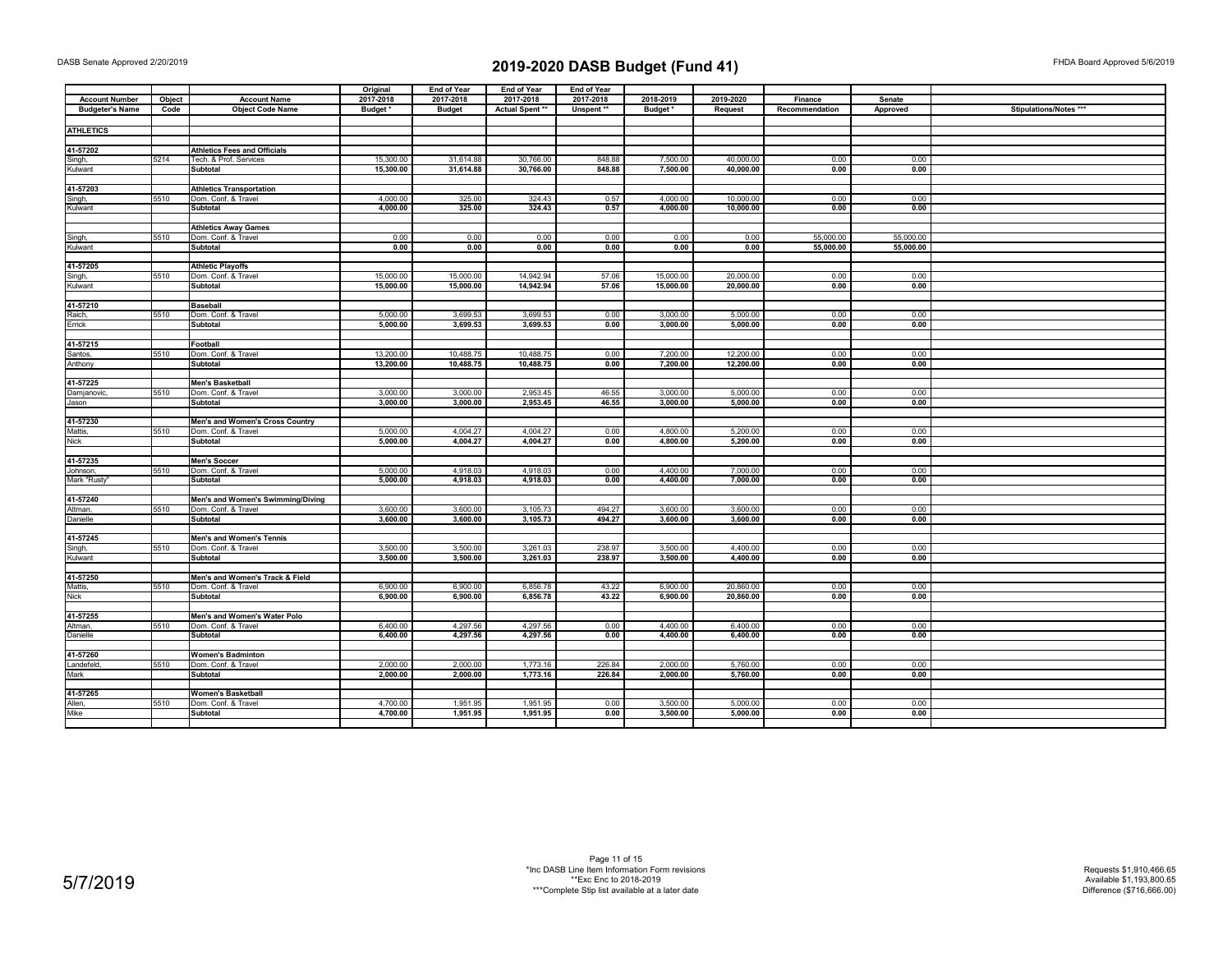| 2017-2018<br>2017-2018<br>2017-2018<br>2017-2018<br>2018-2019<br>2019-2020<br><b>Account Number</b><br>Object<br><b>Account Name</b><br>Finance<br>Senate<br><b>Budgeter's Name</b><br><b>Object Code Name</b><br>Budget*<br>Actual Spent **<br>Code<br><b>Budget</b><br>Unspent **<br>Budget*<br>Request<br>Recommendation<br>Approved<br><b>ATHLETICS</b><br><b>Athletics Fees and Officials</b><br>41-57202<br>5214<br>Tech. & Prof. Services<br>15,300.00<br>31,614.88<br>30,766.00<br>848.88<br>7,500.00<br>40,000.00<br>0.00<br>0.00<br>Singh,<br>15,300.00<br>31,614.88<br>30,766.00<br>848.88<br>7,500.00<br>40,000.00<br>0.00<br>0.00<br><b>Kulwant</b><br><b>Subtotal</b><br>41-57203<br><b>Athletics Transportation</b><br>4,000.00<br>325.00<br>324.43<br>0.57<br>4,000.00<br>5510<br>10,000.00<br>0.00<br>0.00<br>Singh,<br>Dom. Conf. & Travel<br>325.00<br>324.43<br>Subtotal<br>4,000.00<br>0.57<br>4,000.00<br>10,000.00<br>0.00<br>0.00<br>Kulwant<br><b>Athletics Away Games</b><br>5510<br>Dom. Conf. & Travel<br>0.00<br>0.00<br>0.00<br>0.00<br>0.00<br>0.00<br>55,000.00<br>55.000.00<br>Singh,<br>55,000.00<br>Subtotal<br>0.00<br>0.00<br>0.00<br>0.00<br>0.00<br>0.00<br>55,000.00<br>Kulwant<br>41-57205<br><b>Athletic Playoffs</b><br>5510<br>Dom. Conf. & Travel<br>15,000.00<br>15,000.00<br>14.942.94<br>57.06<br>15,000.00<br>20,000.00<br>0.00<br>0.00<br>Singh, | Stipulations/Notes *** |
|----------------------------------------------------------------------------------------------------------------------------------------------------------------------------------------------------------------------------------------------------------------------------------------------------------------------------------------------------------------------------------------------------------------------------------------------------------------------------------------------------------------------------------------------------------------------------------------------------------------------------------------------------------------------------------------------------------------------------------------------------------------------------------------------------------------------------------------------------------------------------------------------------------------------------------------------------------------------------------------------------------------------------------------------------------------------------------------------------------------------------------------------------------------------------------------------------------------------------------------------------------------------------------------------------------------------------------------------------------------------------------------------------|------------------------|
|                                                                                                                                                                                                                                                                                                                                                                                                                                                                                                                                                                                                                                                                                                                                                                                                                                                                                                                                                                                                                                                                                                                                                                                                                                                                                                                                                                                                    |                        |
|                                                                                                                                                                                                                                                                                                                                                                                                                                                                                                                                                                                                                                                                                                                                                                                                                                                                                                                                                                                                                                                                                                                                                                                                                                                                                                                                                                                                    |                        |
|                                                                                                                                                                                                                                                                                                                                                                                                                                                                                                                                                                                                                                                                                                                                                                                                                                                                                                                                                                                                                                                                                                                                                                                                                                                                                                                                                                                                    |                        |
|                                                                                                                                                                                                                                                                                                                                                                                                                                                                                                                                                                                                                                                                                                                                                                                                                                                                                                                                                                                                                                                                                                                                                                                                                                                                                                                                                                                                    |                        |
|                                                                                                                                                                                                                                                                                                                                                                                                                                                                                                                                                                                                                                                                                                                                                                                                                                                                                                                                                                                                                                                                                                                                                                                                                                                                                                                                                                                                    |                        |
|                                                                                                                                                                                                                                                                                                                                                                                                                                                                                                                                                                                                                                                                                                                                                                                                                                                                                                                                                                                                                                                                                                                                                                                                                                                                                                                                                                                                    |                        |
|                                                                                                                                                                                                                                                                                                                                                                                                                                                                                                                                                                                                                                                                                                                                                                                                                                                                                                                                                                                                                                                                                                                                                                                                                                                                                                                                                                                                    |                        |
|                                                                                                                                                                                                                                                                                                                                                                                                                                                                                                                                                                                                                                                                                                                                                                                                                                                                                                                                                                                                                                                                                                                                                                                                                                                                                                                                                                                                    |                        |
|                                                                                                                                                                                                                                                                                                                                                                                                                                                                                                                                                                                                                                                                                                                                                                                                                                                                                                                                                                                                                                                                                                                                                                                                                                                                                                                                                                                                    |                        |
|                                                                                                                                                                                                                                                                                                                                                                                                                                                                                                                                                                                                                                                                                                                                                                                                                                                                                                                                                                                                                                                                                                                                                                                                                                                                                                                                                                                                    |                        |
|                                                                                                                                                                                                                                                                                                                                                                                                                                                                                                                                                                                                                                                                                                                                                                                                                                                                                                                                                                                                                                                                                                                                                                                                                                                                                                                                                                                                    |                        |
|                                                                                                                                                                                                                                                                                                                                                                                                                                                                                                                                                                                                                                                                                                                                                                                                                                                                                                                                                                                                                                                                                                                                                                                                                                                                                                                                                                                                    |                        |
|                                                                                                                                                                                                                                                                                                                                                                                                                                                                                                                                                                                                                                                                                                                                                                                                                                                                                                                                                                                                                                                                                                                                                                                                                                                                                                                                                                                                    |                        |
|                                                                                                                                                                                                                                                                                                                                                                                                                                                                                                                                                                                                                                                                                                                                                                                                                                                                                                                                                                                                                                                                                                                                                                                                                                                                                                                                                                                                    |                        |
|                                                                                                                                                                                                                                                                                                                                                                                                                                                                                                                                                                                                                                                                                                                                                                                                                                                                                                                                                                                                                                                                                                                                                                                                                                                                                                                                                                                                    |                        |
|                                                                                                                                                                                                                                                                                                                                                                                                                                                                                                                                                                                                                                                                                                                                                                                                                                                                                                                                                                                                                                                                                                                                                                                                                                                                                                                                                                                                    |                        |
|                                                                                                                                                                                                                                                                                                                                                                                                                                                                                                                                                                                                                                                                                                                                                                                                                                                                                                                                                                                                                                                                                                                                                                                                                                                                                                                                                                                                    |                        |
|                                                                                                                                                                                                                                                                                                                                                                                                                                                                                                                                                                                                                                                                                                                                                                                                                                                                                                                                                                                                                                                                                                                                                                                                                                                                                                                                                                                                    |                        |
| 15,000.00<br>15,000.00<br>14,942.94<br>57.06<br>15,000.00<br>20,000.00<br>0.00<br>0.00<br>Kulwant<br>Subtotal                                                                                                                                                                                                                                                                                                                                                                                                                                                                                                                                                                                                                                                                                                                                                                                                                                                                                                                                                                                                                                                                                                                                                                                                                                                                                      |                        |
|                                                                                                                                                                                                                                                                                                                                                                                                                                                                                                                                                                                                                                                                                                                                                                                                                                                                                                                                                                                                                                                                                                                                                                                                                                                                                                                                                                                                    |                        |
| 41-57210<br><b>Baseball</b>                                                                                                                                                                                                                                                                                                                                                                                                                                                                                                                                                                                                                                                                                                                                                                                                                                                                                                                                                                                                                                                                                                                                                                                                                                                                                                                                                                        |                        |
| 5510<br>5.000.00<br>3,699.53<br>3.699.53<br>0.00<br>3.000.00<br>5.000.00<br>0.00<br>0.00<br>Raich,<br>Dom. Conf. & Travel                                                                                                                                                                                                                                                                                                                                                                                                                                                                                                                                                                                                                                                                                                                                                                                                                                                                                                                                                                                                                                                                                                                                                                                                                                                                          |                        |
| 5,000.00<br>3,699.53<br>3,699.53<br>0.00<br>3,000.00<br>5,000.00<br>0.00<br>0.00<br>Errick<br>Subtotal                                                                                                                                                                                                                                                                                                                                                                                                                                                                                                                                                                                                                                                                                                                                                                                                                                                                                                                                                                                                                                                                                                                                                                                                                                                                                             |                        |
|                                                                                                                                                                                                                                                                                                                                                                                                                                                                                                                                                                                                                                                                                                                                                                                                                                                                                                                                                                                                                                                                                                                                                                                                                                                                                                                                                                                                    |                        |
| 41-57215<br>Football                                                                                                                                                                                                                                                                                                                                                                                                                                                                                                                                                                                                                                                                                                                                                                                                                                                                                                                                                                                                                                                                                                                                                                                                                                                                                                                                                                               |                        |
| 5510<br>13,200.00<br>10,488.75<br>10,488.75<br>0.00<br>7,200.00<br>12,200.00<br>0.00<br>0.00<br>Santos,<br>Dom. Conf. & Travel<br>13,200.00<br>10,488.75<br>10,488.75<br>7,200.00<br>12,200.00<br>0.00<br>0.00<br>0.00<br>Subtotal                                                                                                                                                                                                                                                                                                                                                                                                                                                                                                                                                                                                                                                                                                                                                                                                                                                                                                                                                                                                                                                                                                                                                                 |                        |
| Anthony                                                                                                                                                                                                                                                                                                                                                                                                                                                                                                                                                                                                                                                                                                                                                                                                                                                                                                                                                                                                                                                                                                                                                                                                                                                                                                                                                                                            |                        |
| 41-57225<br><b>Men's Basketball</b>                                                                                                                                                                                                                                                                                                                                                                                                                                                                                                                                                                                                                                                                                                                                                                                                                                                                                                                                                                                                                                                                                                                                                                                                                                                                                                                                                                |                        |
| 5510<br>Dom. Conf. & Travel<br>3,000.00<br>3,000.00<br>2,953.45<br>46.55<br>3,000.00<br>5,000.00<br>0.00<br>0.00<br>Damjanovic,                                                                                                                                                                                                                                                                                                                                                                                                                                                                                                                                                                                                                                                                                                                                                                                                                                                                                                                                                                                                                                                                                                                                                                                                                                                                    |                        |
| 3,000.00<br>2,953.45<br>46.55<br>3,000.00<br>5,000.00<br><b>Subtotal</b><br>3,000.00<br>0.00<br>0.00<br>Jason                                                                                                                                                                                                                                                                                                                                                                                                                                                                                                                                                                                                                                                                                                                                                                                                                                                                                                                                                                                                                                                                                                                                                                                                                                                                                      |                        |
|                                                                                                                                                                                                                                                                                                                                                                                                                                                                                                                                                                                                                                                                                                                                                                                                                                                                                                                                                                                                                                                                                                                                                                                                                                                                                                                                                                                                    |                        |
| 41-57230<br>Men's and Women's Cross Country                                                                                                                                                                                                                                                                                                                                                                                                                                                                                                                                                                                                                                                                                                                                                                                                                                                                                                                                                                                                                                                                                                                                                                                                                                                                                                                                                        |                        |
| 5510<br>5,000.00<br>4,004.27<br>4,004.27<br>0.00<br>4,800.00<br>5,200.00<br>0.00<br>0.00<br>Mattis.<br>Dom. Conf. & Travel                                                                                                                                                                                                                                                                                                                                                                                                                                                                                                                                                                                                                                                                                                                                                                                                                                                                                                                                                                                                                                                                                                                                                                                                                                                                         |                        |
| 4,004.27<br>0.00<br>4,800.00<br>5,000.00<br>4,004.27<br>5,200.00<br>0.00<br>0.00<br>Nick<br><b>Subtotal</b>                                                                                                                                                                                                                                                                                                                                                                                                                                                                                                                                                                                                                                                                                                                                                                                                                                                                                                                                                                                                                                                                                                                                                                                                                                                                                        |                        |
|                                                                                                                                                                                                                                                                                                                                                                                                                                                                                                                                                                                                                                                                                                                                                                                                                                                                                                                                                                                                                                                                                                                                                                                                                                                                                                                                                                                                    |                        |
| 41-57235<br><b>Men's Soccer</b>                                                                                                                                                                                                                                                                                                                                                                                                                                                                                                                                                                                                                                                                                                                                                                                                                                                                                                                                                                                                                                                                                                                                                                                                                                                                                                                                                                    |                        |
| 5510<br>Dom. Conf. & Travel<br>5,000.00<br>4,918.03<br>4,918.03<br>0.00<br>4,400.00<br>7,000.00<br>0.00<br>0.00<br>Johnson,                                                                                                                                                                                                                                                                                                                                                                                                                                                                                                                                                                                                                                                                                                                                                                                                                                                                                                                                                                                                                                                                                                                                                                                                                                                                        |                        |
| Mark "Rusty"<br>5,000.00<br>4,918.03<br>4,918.03<br>0.00<br>4,400.00<br>7,000.00<br>0.00<br>0.00<br>Subtotal                                                                                                                                                                                                                                                                                                                                                                                                                                                                                                                                                                                                                                                                                                                                                                                                                                                                                                                                                                                                                                                                                                                                                                                                                                                                                       |                        |
|                                                                                                                                                                                                                                                                                                                                                                                                                                                                                                                                                                                                                                                                                                                                                                                                                                                                                                                                                                                                                                                                                                                                                                                                                                                                                                                                                                                                    |                        |
| 41-57240<br>Men's and Women's Swimming/Diving                                                                                                                                                                                                                                                                                                                                                                                                                                                                                                                                                                                                                                                                                                                                                                                                                                                                                                                                                                                                                                                                                                                                                                                                                                                                                                                                                      |                        |
| 5510<br>3,600.00<br>3,600.00<br>3,600.00<br>3,105.73<br>494.27<br>3,600.00<br>0.00<br>0.00<br>Dom. Conf. & Travel<br>Altman                                                                                                                                                                                                                                                                                                                                                                                                                                                                                                                                                                                                                                                                                                                                                                                                                                                                                                                                                                                                                                                                                                                                                                                                                                                                        |                        |
| 3,600.00<br>3,600.00<br>Subtotal<br>3,600.00<br>3,105.73<br>494.27<br>3,600.00<br>0.00<br>0.00<br>Danielle                                                                                                                                                                                                                                                                                                                                                                                                                                                                                                                                                                                                                                                                                                                                                                                                                                                                                                                                                                                                                                                                                                                                                                                                                                                                                         |                        |
| 41-57245<br>Men's and Women's Tennis                                                                                                                                                                                                                                                                                                                                                                                                                                                                                                                                                                                                                                                                                                                                                                                                                                                                                                                                                                                                                                                                                                                                                                                                                                                                                                                                                               |                        |
| 3,500.00<br>238.97<br>3,500.00<br>5510<br>3,500.00<br>3,261.03<br>4,400.00<br>0.00<br>0.00<br>Dom. Conf. & Travel<br>Singh,                                                                                                                                                                                                                                                                                                                                                                                                                                                                                                                                                                                                                                                                                                                                                                                                                                                                                                                                                                                                                                                                                                                                                                                                                                                                        |                        |
| 3,500.00<br>3,261.03<br>238.97<br>3,500.00<br>4,400.00<br>0.00<br>0.00<br>Kulwant<br>Subtotal<br>3,500.00                                                                                                                                                                                                                                                                                                                                                                                                                                                                                                                                                                                                                                                                                                                                                                                                                                                                                                                                                                                                                                                                                                                                                                                                                                                                                          |                        |
|                                                                                                                                                                                                                                                                                                                                                                                                                                                                                                                                                                                                                                                                                                                                                                                                                                                                                                                                                                                                                                                                                                                                                                                                                                                                                                                                                                                                    |                        |
| 41-57250<br>Men's and Women's Track & Field                                                                                                                                                                                                                                                                                                                                                                                                                                                                                                                                                                                                                                                                                                                                                                                                                                                                                                                                                                                                                                                                                                                                                                                                                                                                                                                                                        |                        |
| 6.900.00<br>6.900.00<br>5510<br>6.900.00<br>6,856.78<br>43.22<br>20.860.00<br>0.00<br>0.00<br>Mattis.<br>Dom. Conf. & Travel                                                                                                                                                                                                                                                                                                                                                                                                                                                                                                                                                                                                                                                                                                                                                                                                                                                                                                                                                                                                                                                                                                                                                                                                                                                                       |                        |
| 6,900.00<br>6,900.00<br>6,856.78<br>43.22<br>6,900.00<br>20,860.00<br>0.00<br>Nick<br>Subtotal<br>0.00                                                                                                                                                                                                                                                                                                                                                                                                                                                                                                                                                                                                                                                                                                                                                                                                                                                                                                                                                                                                                                                                                                                                                                                                                                                                                             |                        |
|                                                                                                                                                                                                                                                                                                                                                                                                                                                                                                                                                                                                                                                                                                                                                                                                                                                                                                                                                                                                                                                                                                                                                                                                                                                                                                                                                                                                    |                        |
| 41-57255<br>Men's and Women's Water Polo                                                                                                                                                                                                                                                                                                                                                                                                                                                                                                                                                                                                                                                                                                                                                                                                                                                                                                                                                                                                                                                                                                                                                                                                                                                                                                                                                           |                        |
| 4,297.56<br>5510<br>6,400.00<br>4,297.56<br>0.00<br>4,400.00<br>6,400.00<br>0.00<br>0.00<br>Altman,<br>Dom. Conf. & Travel                                                                                                                                                                                                                                                                                                                                                                                                                                                                                                                                                                                                                                                                                                                                                                                                                                                                                                                                                                                                                                                                                                                                                                                                                                                                         |                        |
| Subtotal<br>6,400.00<br>4,297.56<br>4,297.56<br>0.00<br>4,400.00<br>6,400.00<br>0.00<br>0.00<br>Danielle                                                                                                                                                                                                                                                                                                                                                                                                                                                                                                                                                                                                                                                                                                                                                                                                                                                                                                                                                                                                                                                                                                                                                                                                                                                                                           |                        |
|                                                                                                                                                                                                                                                                                                                                                                                                                                                                                                                                                                                                                                                                                                                                                                                                                                                                                                                                                                                                                                                                                                                                                                                                                                                                                                                                                                                                    |                        |
| 41-57260<br><b>Women's Badminton</b>                                                                                                                                                                                                                                                                                                                                                                                                                                                                                                                                                                                                                                                                                                                                                                                                                                                                                                                                                                                                                                                                                                                                                                                                                                                                                                                                                               |                        |
| 2,000.00<br>2,000.00<br>Landefeld,<br>5510<br>Dom. Conf. & Travel<br>2,000.00<br>1,773.16<br>226.84<br>5,760.00<br>0.00<br>0.00                                                                                                                                                                                                                                                                                                                                                                                                                                                                                                                                                                                                                                                                                                                                                                                                                                                                                                                                                                                                                                                                                                                                                                                                                                                                    |                        |
| 2,000.00<br>2,000.00<br>2,000.00<br>1,773.16<br>226.84<br>5,760.00<br>0.00<br>0.00<br>Mark<br>Subtotal                                                                                                                                                                                                                                                                                                                                                                                                                                                                                                                                                                                                                                                                                                                                                                                                                                                                                                                                                                                                                                                                                                                                                                                                                                                                                             |                        |
| 41-57265<br><b>Women's Basketball</b>                                                                                                                                                                                                                                                                                                                                                                                                                                                                                                                                                                                                                                                                                                                                                                                                                                                                                                                                                                                                                                                                                                                                                                                                                                                                                                                                                              |                        |
| 0.00<br>3,500.00<br>5510<br>Dom. Conf. & Travel<br>4,700.00<br>1,951.95<br>1,951.95<br>5,000.00<br>0.00<br>0.00<br>Allen,                                                                                                                                                                                                                                                                                                                                                                                                                                                                                                                                                                                                                                                                                                                                                                                                                                                                                                                                                                                                                                                                                                                                                                                                                                                                          |                        |
| 4,700.00<br>1,951.95<br>0.00<br>3,500.00<br>5,000.00<br>0.00<br>0.00<br>Mike<br>Subtotal<br>1,951.95                                                                                                                                                                                                                                                                                                                                                                                                                                                                                                                                                                                                                                                                                                                                                                                                                                                                                                                                                                                                                                                                                                                                                                                                                                                                                               |                        |
|                                                                                                                                                                                                                                                                                                                                                                                                                                                                                                                                                                                                                                                                                                                                                                                                                                                                                                                                                                                                                                                                                                                                                                                                                                                                                                                                                                                                    |                        |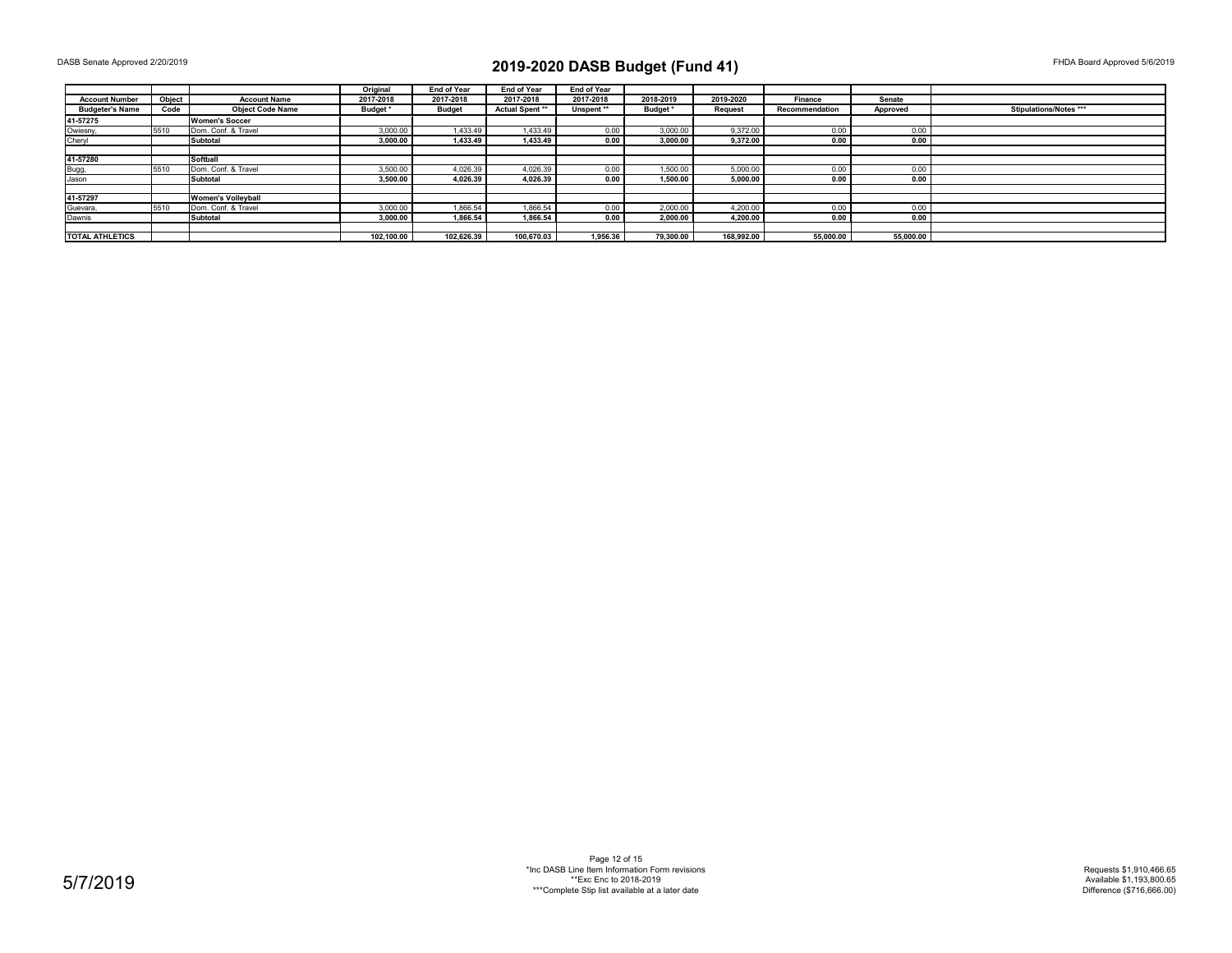|                        |        |                           | Original   | <b>End of Year</b> | <b>End of Year</b>     | <b>End of Year</b> |           |            |                |           |                        |
|------------------------|--------|---------------------------|------------|--------------------|------------------------|--------------------|-----------|------------|----------------|-----------|------------------------|
| <b>Account Number</b>  | Object | <b>Account Name</b>       | 2017-2018  | 2017-2018          | 2017-2018              | 2017-2018          | 2018-2019 | 2019-2020  | Finance        | Senate    |                        |
| <b>Budgeter's Name</b> | Code   | <b>Object Code Name</b>   | Budget *   | Budget             | <b>Actual Spent **</b> | Unspent**          | Budget*   | Request    | Recommendation | Approved  | Stipulations/Notes *** |
| 41-57275               |        | <b>Women's Soccer</b>     |            |                    |                        |                    |           |            |                |           |                        |
| Owiesny,               | 5510   | Dom, Conf. & Travel       | 3.000.00   | 1.433.49           | 1.433.49               | 0.00               | 3.000.00  | 9.372.00   | 0.00           | 0.00      |                        |
| Cheryl                 |        | <b>Subtotal</b>           | 3.000.00   | 1.433.49           | 1.433.49               | 0.00               | 3.000.00  | 9.372.00   | 0.00           | 0.00      |                        |
|                        |        |                           |            |                    |                        |                    |           |            |                |           |                        |
| 41-57280               |        | Softball                  |            |                    |                        |                    |           |            |                |           |                        |
| Bugg,                  | 5510   | Dom, Conf. & Travel       | 3.500.00   | 4.026.39           | 4.026.39               | 0.00               | 1.500.00  | 5.000.00   | 0.00           | 0.00      |                        |
| Jason                  |        | Subtotal                  | 3,500.00   | 4.026.39           | 4,026.39               | 0.00               | 1,500.00  | 5,000.00   | 0.00           | 0.00      |                        |
|                        |        |                           |            |                    |                        |                    |           |            |                |           |                        |
| 41-57297               |        | <b>Women's Vollevball</b> |            |                    |                        |                    |           |            |                |           |                        |
| Guevara,               | 5510   | Dom. Conf. & Travel       | 3,000.00   | 1.866.54           | 1,866.54               | 0.00               | 2.000.00  | 4.200.00   | 0.00           | 0.00      |                        |
| Dawnis                 |        | <b>Subtotal</b>           | 3.000.00   | 1.866.54           | 1.866.54               | 0.00               | 2.000.00  | 4.200.00   | 0.00           | 0.00      |                        |
|                        |        |                           |            |                    |                        |                    |           |            |                |           |                        |
| <b>TOTAL ATHLETICS</b> |        |                           | 102.100.00 | 102.626.39         | 100.670.03             | 1.956.36           | 79.300.00 | 168.992.00 | 55.000.00      | 55.000.00 |                        |

Page 12 of 15 \*Inc DASB Line Item Information Form revisions \*\*Exc Enc to 2018-2019 \*\*\*Complete Stip list available at a later date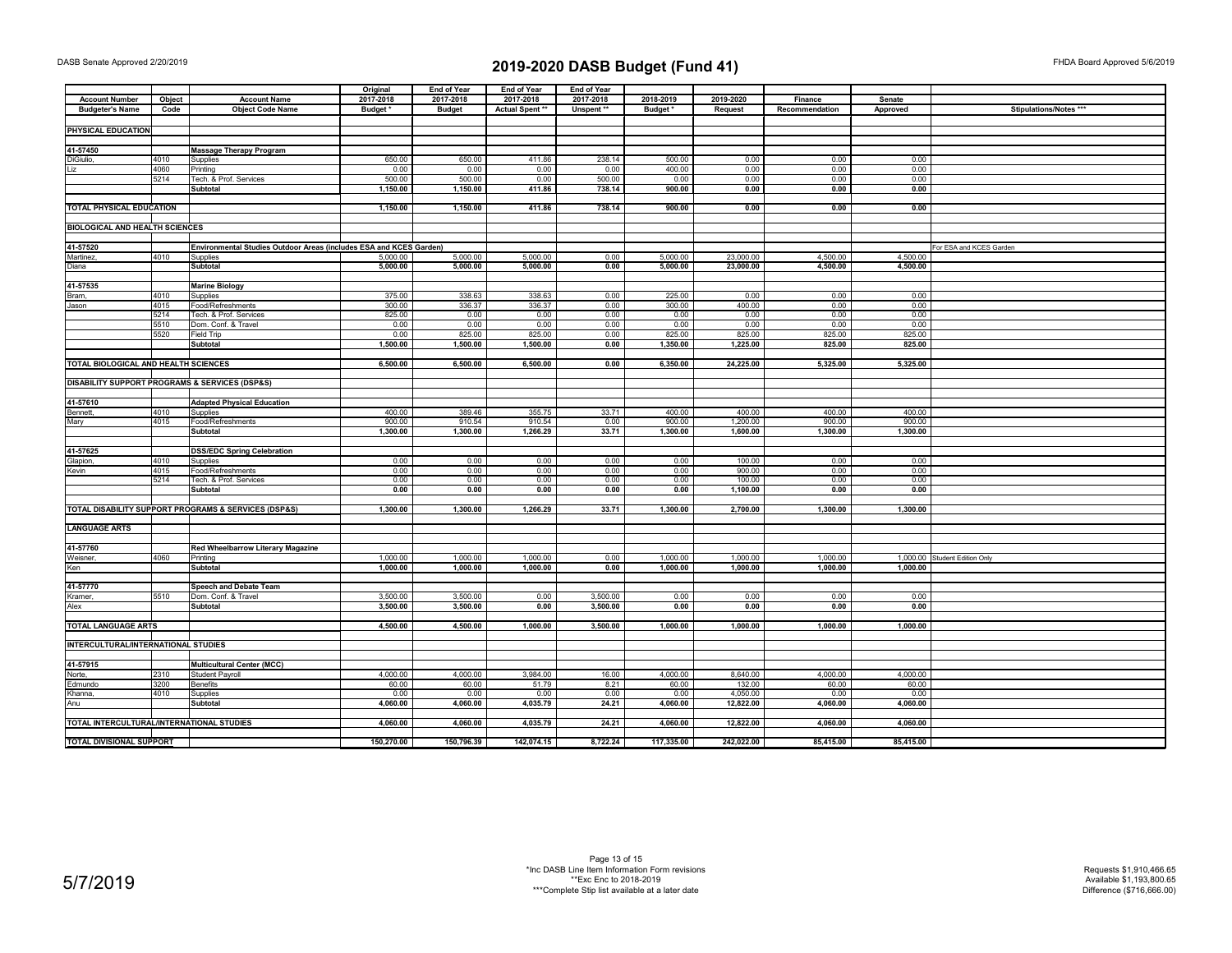|                                           |        |                                                                    | Original   | <b>End of Year</b> | <b>End of Year</b> | <b>End of Year</b> |            |            |                |           |                               |
|-------------------------------------------|--------|--------------------------------------------------------------------|------------|--------------------|--------------------|--------------------|------------|------------|----------------|-----------|-------------------------------|
| <b>Account Number</b>                     | Object | <b>Account Name</b>                                                | 2017-2018  | 2017-2018          | 2017-2018          | 2017-2018          | 2018-2019  | 2019-2020  | Finance        | Senate    |                               |
| <b>Budgeter's Name</b>                    | Code   | <b>Object Code Name</b>                                            | Budget*    | <b>Budget</b>      | Actual Spent **    | Unspent**          | Budget*    | Request    | Recommendation | Approved  | Stipulations/Notes ***        |
|                                           |        |                                                                    |            |                    |                    |                    |            |            |                |           |                               |
| PHYSICAL EDUCATION                        |        |                                                                    |            |                    |                    |                    |            |            |                |           |                               |
|                                           |        |                                                                    |            |                    |                    |                    |            |            |                |           |                               |
| 41-57450                                  |        | <b>Massage Therapy Program</b>                                     |            |                    |                    |                    |            |            |                |           |                               |
| DiGiulio,                                 | 4010   | Supplies                                                           | 650.00     | 650.00             | 411.86             | 238.14             | 500.00     | 0.00       | 0.00           | 0.00      |                               |
| Liz                                       | 4060   | Printing                                                           | 0.00       | 0.00               | 0.00               | 0.00               | 400.00     | 0.00       | 0.00           | 0.00      |                               |
|                                           | 5214   | Tech. & Prof. Services                                             | 500.00     | 500.00             | 0.00               | 500.00             | 0.00       | 0.00       | 0.00           | 0.00      |                               |
|                                           |        | Subtotal                                                           | 1,150.00   | 1,150.00           | 411.86             | 738.14             | 900.00     | 0.00       | 0.00           | 0.00      |                               |
|                                           |        |                                                                    |            |                    |                    |                    |            |            |                |           |                               |
| TOTAL PHYSICAL EDUCATION                  |        |                                                                    | 1,150.00   | 1,150.00           | 411.86             | 738.14             | 900.00     | 0.00       | 0.00           | 0.00      |                               |
|                                           |        |                                                                    |            |                    |                    |                    |            |            |                |           |                               |
| <b>BIOLOGICAL AND HEALTH SCIENCES</b>     |        |                                                                    |            |                    |                    |                    |            |            |                |           |                               |
|                                           |        |                                                                    |            |                    |                    |                    |            |            |                |           |                               |
| 41-57520                                  |        | Environmental Studies Outdoor Areas (includes ESA and KCES Garden) |            |                    |                    |                    |            |            |                |           | For ESA and KCES Garden       |
| Martinez,                                 | 4010   | Supplies                                                           | 5,000.00   | 5,000.00           | 5,000.00           | 0.00               | 5,000.00   | 23,000.00  | 4,500.00       | 4,500.00  |                               |
| Diana                                     |        | Subtotal                                                           | 5,000.00   | 5,000.00           | 5,000.00           | 0.00               | 5,000.00   | 23,000.00  | 4,500.00       | 4,500.00  |                               |
|                                           |        |                                                                    |            |                    |                    |                    |            |            |                |           |                               |
| 41-57535                                  |        | <b>Marine Biology</b>                                              |            |                    |                    |                    |            |            |                |           |                               |
| <b>Bram</b>                               | 4010   | Supplies                                                           | 375.00     | 338.63             | 338.63             | 0.00               | 225.00     | 0.00       | 0.00           | 0.00      |                               |
| Jason                                     | 4015   | Food/Refreshments                                                  | 300.00     | 336.37             | 336.37             | 0.00               | 300.00     | 400.00     | 0.00           | 0.00      |                               |
|                                           | 5214   | Tech. & Prof. Services                                             | 825.00     | 0.00               | 0.00               | 0.00               | 0.00       | 0.00       | 0.00           | 0.00      |                               |
|                                           | 5510   | Dom. Conf. & Travel                                                | 0.00       | 0.00               | 0.00               | 0.00               | 0.00       | 0.00       | 0.00           | 0.00      |                               |
|                                           | 5520   | Field Trip                                                         | 0.00       | 825.00             | 825.00             | 0.00               | 825.00     | 825.00     | 825.00         | 825.00    |                               |
|                                           |        | <b>Subtotal</b>                                                    | 1,500.00   | 1,500.00           | 1,500.00           | 0.00               | 1,350.00   | 1,225.00   | 825.00         | 825.00    |                               |
|                                           |        |                                                                    |            |                    |                    |                    |            |            |                |           |                               |
| TOTAL BIOLOGICAL AND HEALTH SCIENCES      |        |                                                                    | 6,500.00   | 6,500.00           | 6,500.00           | 0.00               | 6,350.00   | 24,225.00  | 5,325.00       | 5,325.00  |                               |
|                                           |        |                                                                    |            |                    |                    |                    |            |            |                |           |                               |
|                                           |        | DISABILITY SUPPORT PROGRAMS & SERVICES (DSP&S)                     |            |                    |                    |                    |            |            |                |           |                               |
|                                           |        |                                                                    |            |                    |                    |                    |            |            |                |           |                               |
| 41-57610                                  |        | <b>Adapted Physical Education</b>                                  |            |                    |                    |                    |            |            |                |           |                               |
| Bennett,                                  | 4010   | Supplies                                                           | 400.00     | 389.46             | 355.75             | 33.71              | 400.00     | 400.00     | 400.00         | 400.00    |                               |
| Mary                                      | 4015   | Food/Refreshments                                                  | 900.00     | 910.54             | 910.54             | 0.00               | 900.00     | 1,200.00   | 900.00         | 900.00    |                               |
|                                           |        | Subtotal                                                           | 1,300.00   | 1,300.00           | 1,266.29           | 33.71              | 1,300.00   | 1,600.00   | 1,300.00       | 1,300.00  |                               |
|                                           |        |                                                                    |            |                    |                    |                    |            |            |                |           |                               |
| 41-57625                                  |        | <b>DSS/EDC Spring Celebration</b>                                  |            |                    |                    |                    |            |            |                |           |                               |
| Glapion,                                  | 4010   | Supplies                                                           | 0.00       | 0.00               | 0.00               | 0.00               | 0.00       | 100.00     | 0.00           | 0.00      |                               |
| Kevin                                     | 4015   | Food/Refreshments                                                  | 0.00       | 0.00               | 0.00               | 0.00               | 0.00       | 900.00     | 0.00           | 0.00      |                               |
|                                           | 5214   | Tech. & Prof. Services                                             | 0.00       | 0.00               | 0.00               | 0.00               | 0.00       | 100.00     | 0.00           | 0.00      |                               |
|                                           |        | Subtotal                                                           | 0.00       | 0.00               | 0.00               | 0.00               | 0.00       | 1,100.00   | 0.00           | 0.00      |                               |
|                                           |        |                                                                    |            |                    |                    |                    |            |            |                |           |                               |
|                                           |        | TOTAL DISABILITY SUPPORT PROGRAMS & SERVICES (DSP&S)               | 1,300.00   | 1,300.00           | 1,266.29           | 33.71              | 1,300.00   | 2,700.00   | 1,300.00       | 1,300.00  |                               |
|                                           |        |                                                                    |            |                    |                    |                    |            |            |                |           |                               |
| <b>LANGUAGE ARTS</b>                      |        |                                                                    |            |                    |                    |                    |            |            |                |           |                               |
|                                           |        |                                                                    |            |                    |                    |                    |            |            |                |           |                               |
| 41-57760                                  |        | Red Wheelbarrow Literary Magazine                                  |            |                    |                    |                    |            |            |                |           |                               |
| Weisner,                                  | 4060   | Printing                                                           | 1,000.00   | 1,000.00           | 1,000.00           | 0.00               | 1,000.00   | 1,000.00   | 1,000.00       |           | 1,000.00 Student Edition Only |
| Ken                                       |        | <b>Subtotal</b>                                                    | 1,000.00   | 1,000.00           | 1,000.00           | 0.00               | 1,000.00   | 1,000.00   | 1,000.00       | 1,000.00  |                               |
|                                           |        |                                                                    |            |                    |                    |                    |            |            |                |           |                               |
| 41-57770                                  |        | Speech and Debate Team                                             |            |                    |                    |                    |            |            |                |           |                               |
| Kramer,                                   | 5510   | Dom. Conf. & Travel                                                | 3,500.00   | 3,500.00           | 0.00               | 3,500.00           | 0.00       | 0.00       | 0.00           | 0.00      |                               |
| Alex                                      |        | Subtotal                                                           | 3,500.00   | 3,500.00           | 0.00               | 3,500.00           | 0.00       | 0.00       | 0.00           | 0.00      |                               |
|                                           |        |                                                                    |            |                    |                    |                    |            |            |                |           |                               |
| <b>TOTAL LANGUAGE ARTS</b>                |        |                                                                    | 4,500.00   | 4,500.00           | 1,000.00           | 3,500.00           | 1,000.00   | 1,000.00   | 1,000.00       | 1,000.00  |                               |
|                                           |        |                                                                    |            |                    |                    |                    |            |            |                |           |                               |
| INTERCULTURAL/INTERNATIONAL STUDIES       |        |                                                                    |            |                    |                    |                    |            |            |                |           |                               |
|                                           |        |                                                                    |            |                    |                    |                    |            |            |                |           |                               |
| 41-57915                                  |        | Multicultural Center (MCC)                                         |            |                    |                    |                    |            |            |                |           |                               |
| Norte,                                    | 2310   | <b>Student Payroll</b>                                             | 4,000.00   | 4,000.00           | 3,984.00           | 16.00              | 4,000.00   | 8,640.00   | 4,000.00       | 4,000.00  |                               |
| Edmundo                                   | 3200   | Benefits                                                           | 60.00      | 60.00              | 51.79              | 8.21               | 60.00      | 132.00     | 60.00          | 60.00     |                               |
| Khanna,                                   | 4010   | Supplies                                                           | 0.00       | 0.00               | 0.00               | 0.00               | 0.00       | 4,050.00   | 0.00           | 0.00      |                               |
| Anu                                       |        | Subtotal                                                           | 4,060.00   | 4,060.00           | 4,035.79           | 24.21              | 4,060.00   | 12,822.00  | 4,060.00       | 4,060.00  |                               |
|                                           |        |                                                                    |            |                    |                    |                    |            |            |                |           |                               |
| TOTAL INTERCULTURAL/INTERNATIONAL STUDIES |        |                                                                    | 4,060.00   | 4,060.00           | 4,035.79           | 24.21              | 4,060.00   | 12,822.00  | 4,060.00       | 4,060.00  |                               |
|                                           |        |                                                                    |            |                    |                    |                    |            |            |                |           |                               |
| TOTAL DIVISIONAL SUPPORT                  |        |                                                                    | 150,270.00 | 150,796.39         | 142,074.15         | 8,722.24           | 117,335.00 | 242,022.00 | 85,415.00      | 85,415.00 |                               |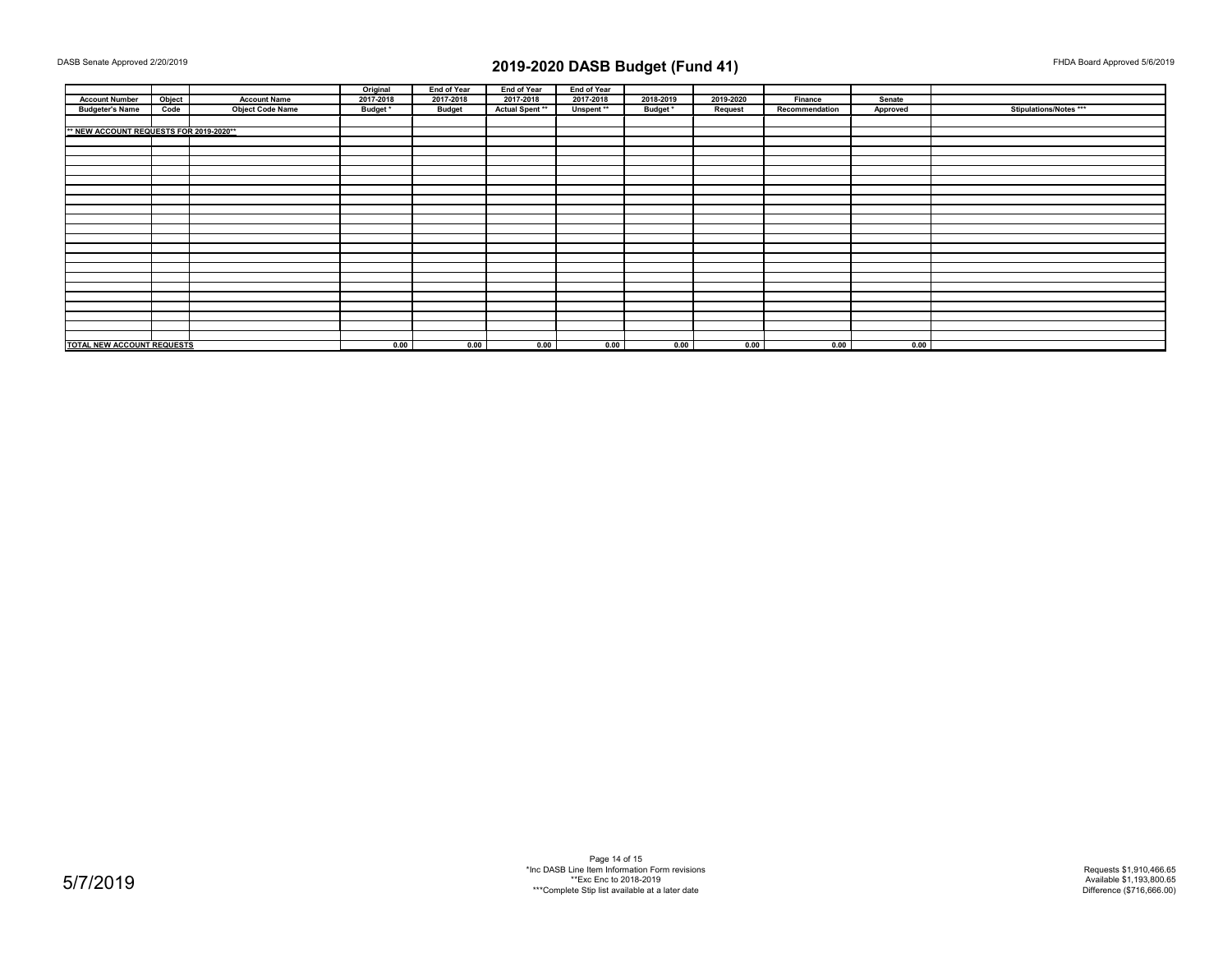|                                         |        |                         | Original  | End of Year   | End of Year     | <b>End of Year</b>    |           |           |                |          |                        |
|-----------------------------------------|--------|-------------------------|-----------|---------------|-----------------|-----------------------|-----------|-----------|----------------|----------|------------------------|
| <b>Account Number</b>                   | Object | <b>Account Name</b>     | 2017-2018 | 2017-2018     | 2017-2018       | 2017-2018             | 2018-2019 | 2019-2020 | Finance        | Senate   |                        |
| <b>Budgeter's Name</b>                  | Code   | <b>Object Code Name</b> | Budget *  | <b>Budget</b> | Actual Spent ** | Unspent <sup>**</sup> | Budget*   | Request   | Recommendation | Approved | Stipulations/Notes *** |
|                                         |        |                         |           |               |                 |                       |           |           |                |          |                        |
| ** NEW ACCOUNT REQUESTS FOR 2019-2020** |        |                         |           |               |                 |                       |           |           |                |          |                        |
|                                         |        |                         |           |               |                 |                       |           |           |                |          |                        |
|                                         |        |                         |           |               |                 |                       |           |           |                |          |                        |
|                                         |        |                         |           |               |                 |                       |           |           |                |          |                        |
|                                         |        |                         |           |               |                 |                       |           |           |                |          |                        |
|                                         |        |                         |           |               |                 |                       |           |           |                |          |                        |
|                                         |        |                         |           |               |                 |                       |           |           |                |          |                        |
|                                         |        |                         |           |               |                 |                       |           |           |                |          |                        |
|                                         |        |                         |           |               |                 |                       |           |           |                |          |                        |
|                                         |        |                         |           |               |                 |                       |           |           |                |          |                        |
|                                         |        |                         |           |               |                 |                       |           |           |                |          |                        |
|                                         |        |                         |           |               |                 |                       |           |           |                |          |                        |
|                                         |        |                         |           |               |                 |                       |           |           |                |          |                        |
|                                         |        |                         |           |               |                 |                       |           |           |                |          |                        |
|                                         |        |                         |           |               |                 |                       |           |           |                |          |                        |
|                                         |        |                         |           |               |                 |                       |           |           |                |          |                        |
|                                         |        |                         |           |               |                 |                       |           |           |                |          |                        |
|                                         |        |                         |           |               |                 |                       |           |           |                |          |                        |
|                                         |        |                         |           |               |                 |                       |           |           |                |          |                        |
|                                         |        |                         |           |               |                 |                       |           |           |                |          |                        |
|                                         |        |                         |           |               |                 |                       |           |           |                |          |                        |
|                                         |        |                         |           |               |                 |                       |           |           |                |          |                        |
| TOTAL NEW ACCOUNT REQUESTS              |        | 0.00                    | 0.00      | 0.00          | 0.00            | 0.00                  | 0.00      | 0.00      | 0.00           |          |                        |

Page 14 of 15 \*Inc DASB Line Item Information Form revisions \*\*Exc Enc to 2018-2019 \*\*\*Complete Stip list available at a later date

Requests \$1,910,466.65 Available \$1,193,800.65 Difference (\$716,666.00)